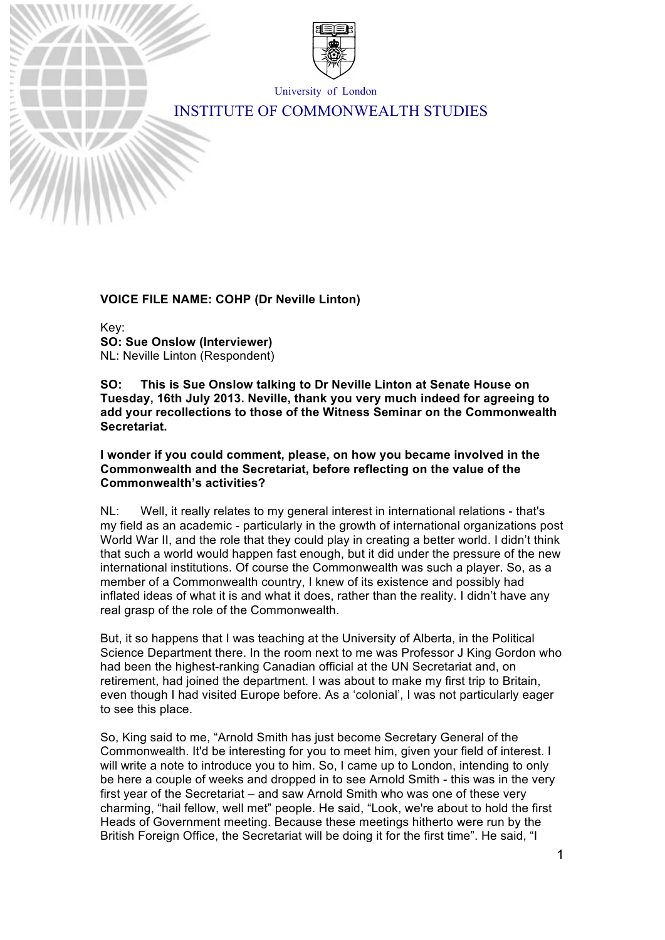

University of London

# INSTITUTE OF COMMONWEALTH STUDIES

### **VOICE FILE NAME: COHP (Dr Neville Linton)**

Key: **SO: Sue Onslow (Interviewer)** NL: Neville Linton (Respondent)

**SO: This is Sue Onslow talking to Dr Neville Linton at Senate House on Tuesday, 16th July 2013. Neville, thank you very much indeed for agreeing to add your recollections to those of the Witness Seminar on the Commonwealth Secretariat.**

**I wonder if you could comment, please, on how you became involved in the Commonwealth and the Secretariat, before reflecting on the value of the Commonwealth's activities?**

NL: Well, it really relates to my general interest in international relations - that's my field as an academic - particularly in the growth of international organizations post World War II, and the role that they could play in creating a better world. I didn't think that such a world would happen fast enough, but it did under the pressure of the new international institutions. Of course the Commonwealth was such a player. So, as a member of a Commonwealth country, I knew of its existence and possibly had inflated ideas of what it is and what it does, rather than the reality. I didn't have any real grasp of the role of the Commonwealth.

But, it so happens that I was teaching at the University of Alberta, in the Political Science Department there. In the room next to me was Professor J King Gordon who had been the highest-ranking Canadian official at the UN Secretariat and, on retirement, had joined the department. I was about to make my first trip to Britain, even though I had visited Europe before. As a 'colonial', I was not particularly eager to see this place.

So, King said to me, "Arnold Smith has just become Secretary General of the Commonwealth. It'd be interesting for you to meet him, given your field of interest. I will write a note to introduce you to him. So, I came up to London, intending to only be here a couple of weeks and dropped in to see Arnold Smith - this was in the very first year of the Secretariat – and saw Arnold Smith who was one of these very charming, "hail fellow, well met" people. He said, "Look, we're about to hold the first Heads of Government meeting. Because these meetings hitherto were run by the British Foreign Office, the Secretariat will be doing it for the first time". He said, "I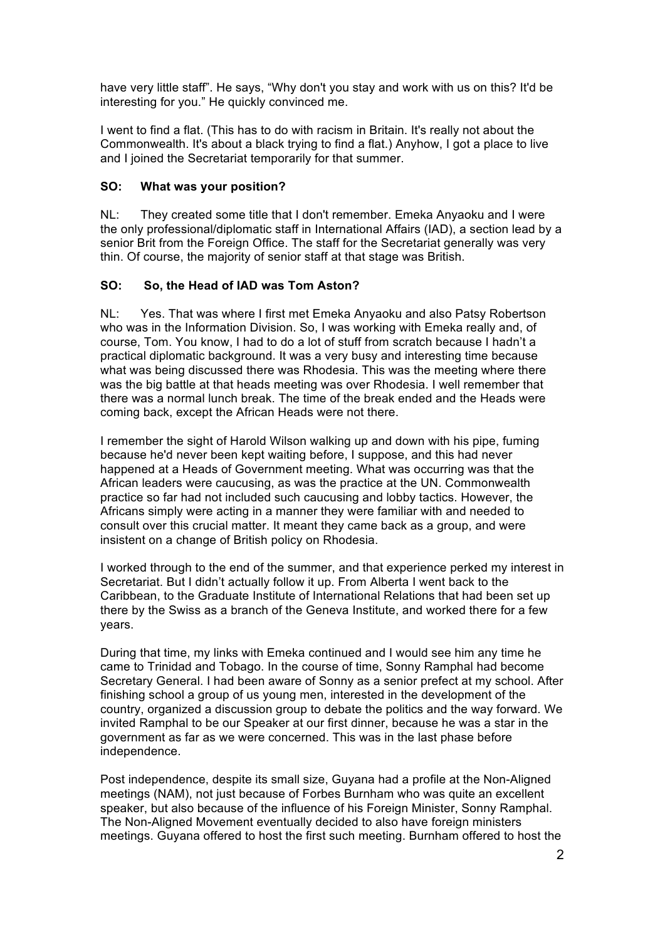have very little staff". He says, "Why don't you stay and work with us on this? It'd be interesting for you." He quickly convinced me.

I went to find a flat. (This has to do with racism in Britain. It's really not about the Commonwealth. It's about a black trying to find a flat.) Anyhow, I got a place to live and I joined the Secretariat temporarily for that summer.

# **SO: What was your position?**

NL: They created some title that I don't remember. Emeka Anyaoku and I were the only professional/diplomatic staff in International Affairs (IAD), a section lead by a senior Brit from the Foreign Office. The staff for the Secretariat generally was very thin. Of course, the majority of senior staff at that stage was British.

# **SO: So, the Head of IAD was Tom Aston?**

NL: Yes. That was where I first met Emeka Anyaoku and also Patsy Robertson who was in the Information Division. So, I was working with Emeka really and, of course, Tom. You know, I had to do a lot of stuff from scratch because I hadn't a practical diplomatic background. It was a very busy and interesting time because what was being discussed there was Rhodesia. This was the meeting where there was the big battle at that heads meeting was over Rhodesia. I well remember that there was a normal lunch break. The time of the break ended and the Heads were coming back, except the African Heads were not there.

I remember the sight of Harold Wilson walking up and down with his pipe, fuming because he'd never been kept waiting before, I suppose, and this had never happened at a Heads of Government meeting. What was occurring was that the African leaders were caucusing, as was the practice at the UN. Commonwealth practice so far had not included such caucusing and lobby tactics. However, the Africans simply were acting in a manner they were familiar with and needed to consult over this crucial matter. It meant they came back as a group, and were insistent on a change of British policy on Rhodesia.

I worked through to the end of the summer, and that experience perked my interest in Secretariat. But I didn't actually follow it up. From Alberta I went back to the Caribbean, to the Graduate Institute of International Relations that had been set up there by the Swiss as a branch of the Geneva Institute, and worked there for a few years.

During that time, my links with Emeka continued and I would see him any time he came to Trinidad and Tobago. In the course of time, Sonny Ramphal had become Secretary General. I had been aware of Sonny as a senior prefect at my school. After finishing school a group of us young men, interested in the development of the country, organized a discussion group to debate the politics and the way forward. We invited Ramphal to be our Speaker at our first dinner, because he was a star in the government as far as we were concerned. This was in the last phase before independence.

Post independence, despite its small size, Guyana had a profile at the Non-Aligned meetings (NAM), not just because of Forbes Burnham who was quite an excellent speaker, but also because of the influence of his Foreign Minister, Sonny Ramphal. The Non-Aligned Movement eventually decided to also have foreign ministers meetings. Guyana offered to host the first such meeting. Burnham offered to host the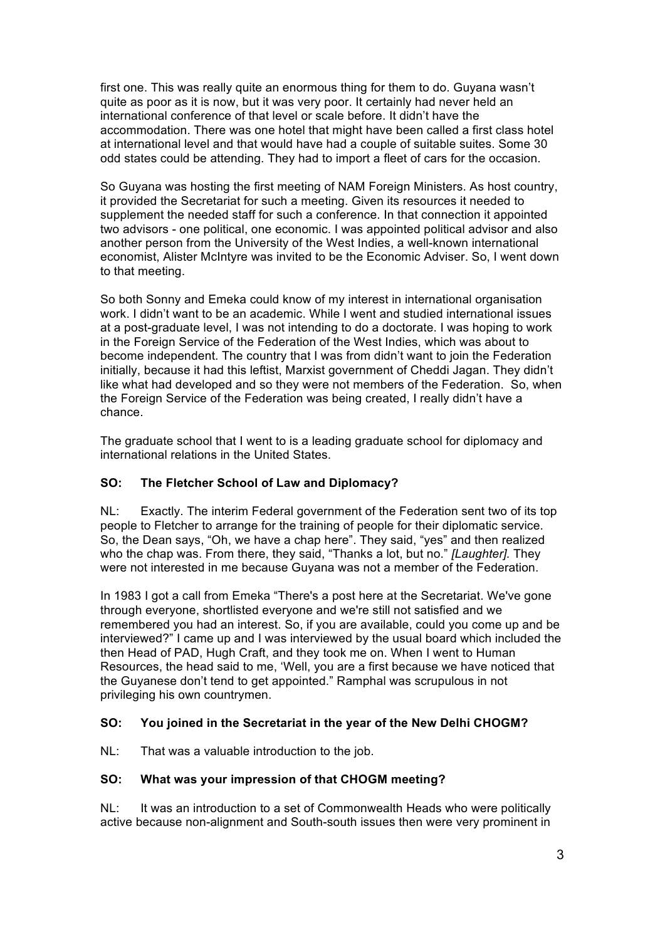first one. This was really quite an enormous thing for them to do. Guyana wasn't quite as poor as it is now, but it was very poor. It certainly had never held an international conference of that level or scale before. It didn't have the accommodation. There was one hotel that might have been called a first class hotel at international level and that would have had a couple of suitable suites. Some 30 odd states could be attending. They had to import a fleet of cars for the occasion.

So Guyana was hosting the first meeting of NAM Foreign Ministers. As host country, it provided the Secretariat for such a meeting. Given its resources it needed to supplement the needed staff for such a conference. In that connection it appointed two advisors - one political, one economic. I was appointed political advisor and also another person from the University of the West Indies, a well-known international economist, Alister McIntyre was invited to be the Economic Adviser. So, I went down to that meeting.

So both Sonny and Emeka could know of my interest in international organisation work. I didn't want to be an academic. While I went and studied international issues at a post-graduate level, I was not intending to do a doctorate. I was hoping to work in the Foreign Service of the Federation of the West Indies, which was about to become independent. The country that I was from didn't want to join the Federation initially, because it had this leftist, Marxist government of Cheddi Jagan. They didn't like what had developed and so they were not members of the Federation. So, when the Foreign Service of the Federation was being created, I really didn't have a chance.

The graduate school that I went to is a leading graduate school for diplomacy and international relations in the United States.

# **SO: The Fletcher School of Law and Diplomacy?**

NL: Exactly. The interim Federal government of the Federation sent two of its top people to Fletcher to arrange for the training of people for their diplomatic service. So, the Dean says, "Oh, we have a chap here". They said, "yes" and then realized who the chap was. From there, they said, "Thanks a lot, but no." *[Laughter].* They were not interested in me because Guyana was not a member of the Federation.

In 1983 I got a call from Emeka "There's a post here at the Secretariat. We've gone through everyone, shortlisted everyone and we're still not satisfied and we remembered you had an interest. So, if you are available, could you come up and be interviewed?" I came up and I was interviewed by the usual board which included the then Head of PAD, Hugh Craft, and they took me on. When I went to Human Resources, the head said to me, 'Well, you are a first because we have noticed that the Guyanese don't tend to get appointed." Ramphal was scrupulous in not privileging his own countrymen.

# **SO: You joined in the Secretariat in the year of the New Delhi CHOGM?**

NL: That was a valuable introduction to the job.

# **SO: What was your impression of that CHOGM meeting?**

NL: It was an introduction to a set of Commonwealth Heads who were politically active because non-alignment and South-south issues then were very prominent in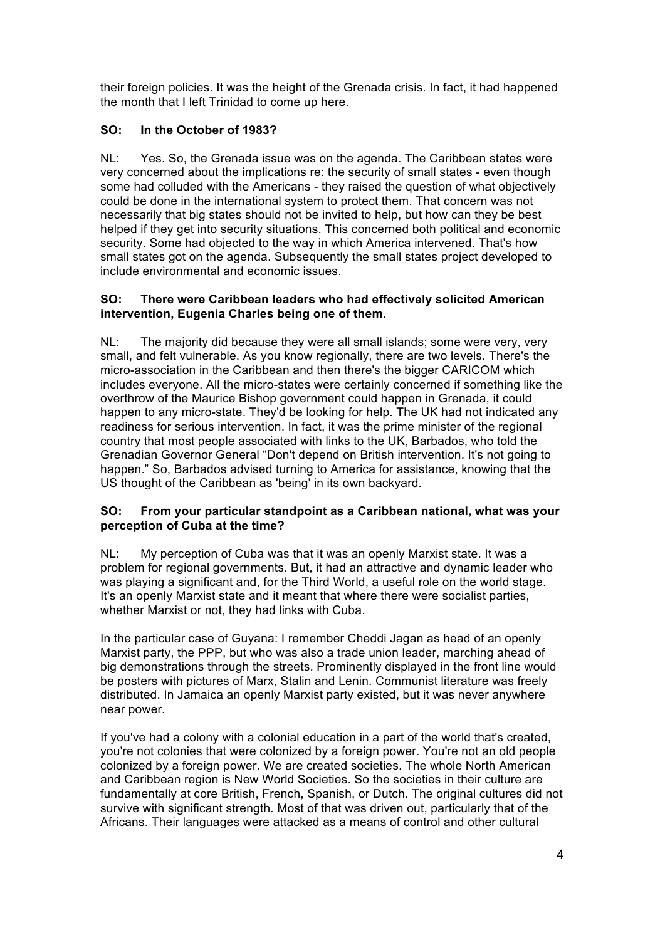their foreign policies. It was the height of the Grenada crisis. In fact, it had happened the month that I left Trinidad to come up here.

# **SO: In the October of 1983?**

NL: Yes. So, the Grenada issue was on the agenda. The Caribbean states were very concerned about the implications re: the security of small states - even though some had colluded with the Americans - they raised the question of what objectively could be done in the international system to protect them. That concern was not necessarily that big states should not be invited to help, but how can they be best helped if they get into security situations. This concerned both political and economic security. Some had objected to the way in which America intervened. That's how small states got on the agenda. Subsequently the small states project developed to include environmental and economic issues.

# **SO: There were Caribbean leaders who had effectively solicited American intervention, Eugenia Charles being one of them.**

NL: The majority did because they were all small islands; some were very, very small, and felt vulnerable. As you know regionally, there are two levels. There's the micro-association in the Caribbean and then there's the bigger CARICOM which includes everyone. All the micro-states were certainly concerned if something like the overthrow of the Maurice Bishop government could happen in Grenada, it could happen to any micro-state. They'd be looking for help. The UK had not indicated any readiness for serious intervention. In fact, it was the prime minister of the regional country that most people associated with links to the UK, Barbados, who told the Grenadian Governor General "Don't depend on British intervention. It's not going to happen." So, Barbados advised turning to America for assistance, knowing that the US thought of the Caribbean as 'being' in its own backyard.

# **SO: From your particular standpoint as a Caribbean national, what was your perception of Cuba at the time?**

NL: My perception of Cuba was that it was an openly Marxist state. It was a problem for regional governments. But, it had an attractive and dynamic leader who was playing a significant and, for the Third World, a useful role on the world stage. It's an openly Marxist state and it meant that where there were socialist parties, whether Marxist or not, they had links with Cuba.

In the particular case of Guyana: I remember Cheddi Jagan as head of an openly Marxist party, the PPP, but who was also a trade union leader, marching ahead of big demonstrations through the streets. Prominently displayed in the front line would be posters with pictures of Marx, Stalin and Lenin. Communist literature was freely distributed. In Jamaica an openly Marxist party existed, but it was never anywhere near power.

If you've had a colony with a colonial education in a part of the world that's created, you're not colonies that were colonized by a foreign power. You're not an old people colonized by a foreign power. We are created societies. The whole North American and Caribbean region is New World Societies. So the societies in their culture are fundamentally at core British, French, Spanish, or Dutch. The original cultures did not survive with significant strength. Most of that was driven out, particularly that of the Africans. Their languages were attacked as a means of control and other cultural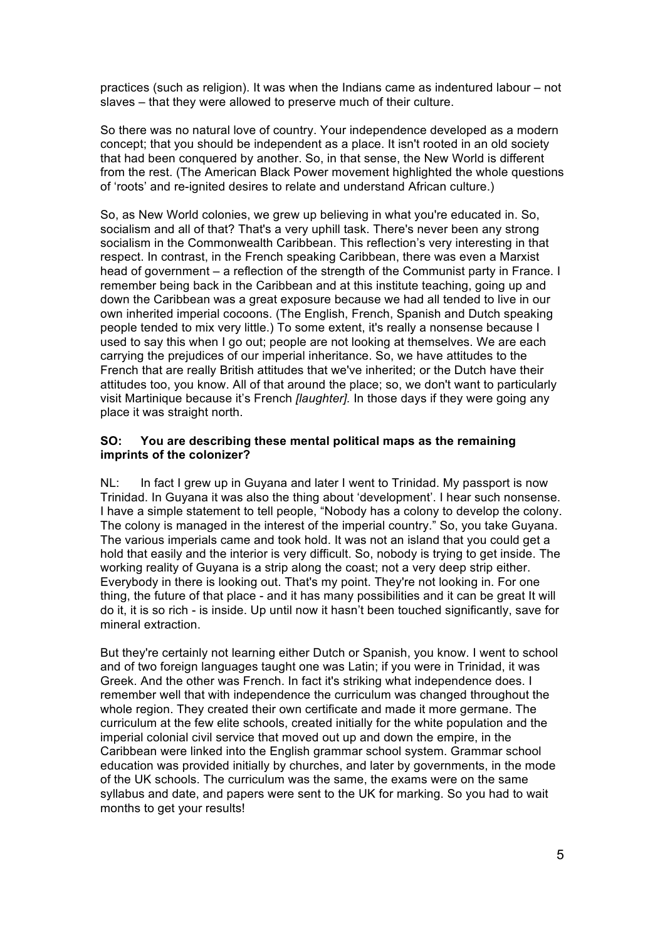practices (such as religion). It was when the Indians came as indentured labour – not slaves – that they were allowed to preserve much of their culture.

So there was no natural love of country. Your independence developed as a modern concept; that you should be independent as a place. It isn't rooted in an old society that had been conquered by another. So, in that sense, the New World is different from the rest. (The American Black Power movement highlighted the whole questions of 'roots' and re-ignited desires to relate and understand African culture.)

So, as New World colonies, we grew up believing in what you're educated in. So, socialism and all of that? That's a very uphill task. There's never been any strong socialism in the Commonwealth Caribbean. This reflection's very interesting in that respect. In contrast, in the French speaking Caribbean, there was even a Marxist head of government – a reflection of the strength of the Communist party in France. I remember being back in the Caribbean and at this institute teaching, going up and down the Caribbean was a great exposure because we had all tended to live in our own inherited imperial cocoons. (The English, French, Spanish and Dutch speaking people tended to mix very little.) To some extent, it's really a nonsense because I used to say this when I go out; people are not looking at themselves. We are each carrying the prejudices of our imperial inheritance. So, we have attitudes to the French that are really British attitudes that we've inherited; or the Dutch have their attitudes too, you know. All of that around the place; so, we don't want to particularly visit Martinique because it's French *[laughter].* In those days if they were going any place it was straight north.

#### **SO: You are describing these mental political maps as the remaining imprints of the colonizer?**

NL: In fact I grew up in Guyana and later I went to Trinidad. My passport is now Trinidad. In Guyana it was also the thing about 'development'. I hear such nonsense. I have a simple statement to tell people, "Nobody has a colony to develop the colony. The colony is managed in the interest of the imperial country." So, you take Guyana. The various imperials came and took hold. It was not an island that you could get a hold that easily and the interior is very difficult. So, nobody is trying to get inside. The working reality of Guyana is a strip along the coast; not a very deep strip either. Everybody in there is looking out. That's my point. They're not looking in. For one thing, the future of that place - and it has many possibilities and it can be great It will do it, it is so rich - is inside. Up until now it hasn't been touched significantly, save for mineral extraction.

But they're certainly not learning either Dutch or Spanish, you know. I went to school and of two foreign languages taught one was Latin; if you were in Trinidad, it was Greek. And the other was French. In fact it's striking what independence does. I remember well that with independence the curriculum was changed throughout the whole region. They created their own certificate and made it more germane. The curriculum at the few elite schools, created initially for the white population and the imperial colonial civil service that moved out up and down the empire, in the Caribbean were linked into the English grammar school system. Grammar school education was provided initially by churches, and later by governments, in the mode of the UK schools. The curriculum was the same, the exams were on the same syllabus and date, and papers were sent to the UK for marking. So you had to wait months to get your results!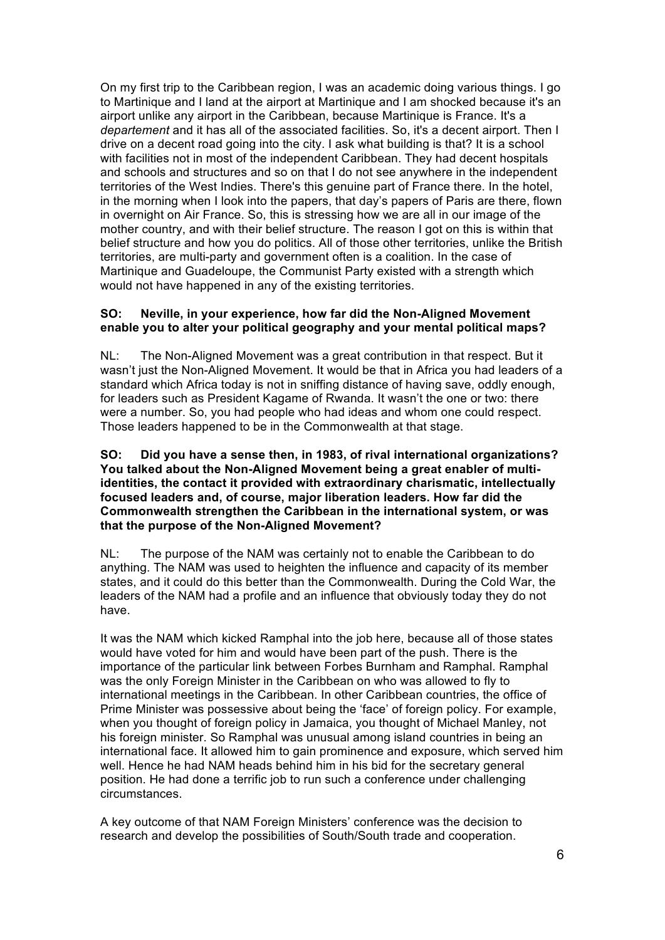On my first trip to the Caribbean region, I was an academic doing various things. I go to Martinique and I land at the airport at Martinique and I am shocked because it's an airport unlike any airport in the Caribbean, because Martinique is France. It's a *departement* and it has all of the associated facilities. So, it's a decent airport. Then I drive on a decent road going into the city. I ask what building is that? It is a school with facilities not in most of the independent Caribbean. They had decent hospitals and schools and structures and so on that I do not see anywhere in the independent territories of the West Indies. There's this genuine part of France there. In the hotel, in the morning when I look into the papers, that day's papers of Paris are there, flown in overnight on Air France. So, this is stressing how we are all in our image of the mother country, and with their belief structure. The reason I got on this is within that belief structure and how you do politics. All of those other territories, unlike the British territories, are multi-party and government often is a coalition. In the case of Martinique and Guadeloupe, the Communist Party existed with a strength which would not have happened in any of the existing territories.

### **SO: Neville, in your experience, how far did the Non-Aligned Movement enable you to alter your political geography and your mental political maps?**

NL: The Non-Aligned Movement was a great contribution in that respect. But it wasn't just the Non-Aligned Movement. It would be that in Africa you had leaders of a standard which Africa today is not in sniffing distance of having save, oddly enough, for leaders such as President Kagame of Rwanda. It wasn't the one or two: there were a number. So, you had people who had ideas and whom one could respect. Those leaders happened to be in the Commonwealth at that stage.

#### **SO: Did you have a sense then, in 1983, of rival international organizations? You talked about the Non-Aligned Movement being a great enabler of multiidentities, the contact it provided with extraordinary charismatic, intellectually focused leaders and, of course, major liberation leaders. How far did the Commonwealth strengthen the Caribbean in the international system, or was that the purpose of the Non-Aligned Movement?**

NL: The purpose of the NAM was certainly not to enable the Caribbean to do anything. The NAM was used to heighten the influence and capacity of its member states, and it could do this better than the Commonwealth. During the Cold War, the leaders of the NAM had a profile and an influence that obviously today they do not have.

It was the NAM which kicked Ramphal into the job here, because all of those states would have voted for him and would have been part of the push. There is the importance of the particular link between Forbes Burnham and Ramphal. Ramphal was the only Foreign Minister in the Caribbean on who was allowed to fly to international meetings in the Caribbean. In other Caribbean countries, the office of Prime Minister was possessive about being the 'face' of foreign policy. For example, when you thought of foreign policy in Jamaica, you thought of Michael Manley, not his foreign minister. So Ramphal was unusual among island countries in being an international face. It allowed him to gain prominence and exposure, which served him well. Hence he had NAM heads behind him in his bid for the secretary general position. He had done a terrific job to run such a conference under challenging circumstances.

A key outcome of that NAM Foreign Ministers' conference was the decision to research and develop the possibilities of South/South trade and cooperation.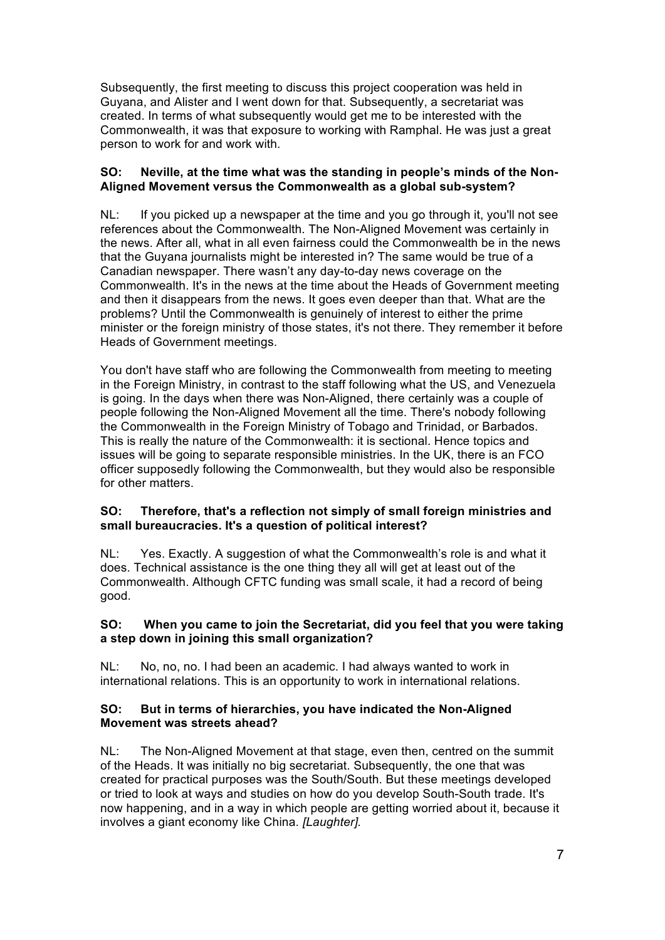Subsequently, the first meeting to discuss this project cooperation was held in Guyana, and Alister and I went down for that. Subsequently, a secretariat was created. In terms of what subsequently would get me to be interested with the Commonwealth, it was that exposure to working with Ramphal. He was just a great person to work for and work with.

# **SO: Neville, at the time what was the standing in people's minds of the Non-Aligned Movement versus the Commonwealth as a global sub-system?**

NL: If you picked up a newspaper at the time and you go through it, you'll not see references about the Commonwealth. The Non-Aligned Movement was certainly in the news. After all, what in all even fairness could the Commonwealth be in the news that the Guyana journalists might be interested in? The same would be true of a Canadian newspaper. There wasn't any day-to-day news coverage on the Commonwealth. It's in the news at the time about the Heads of Government meeting and then it disappears from the news. It goes even deeper than that. What are the problems? Until the Commonwealth is genuinely of interest to either the prime minister or the foreign ministry of those states, it's not there. They remember it before Heads of Government meetings.

You don't have staff who are following the Commonwealth from meeting to meeting in the Foreign Ministry, in contrast to the staff following what the US, and Venezuela is going. In the days when there was Non-Aligned, there certainly was a couple of people following the Non-Aligned Movement all the time. There's nobody following the Commonwealth in the Foreign Ministry of Tobago and Trinidad, or Barbados. This is really the nature of the Commonwealth: it is sectional. Hence topics and issues will be going to separate responsible ministries. In the UK, there is an FCO officer supposedly following the Commonwealth, but they would also be responsible for other matters.

# **SO: Therefore, that's a reflection not simply of small foreign ministries and small bureaucracies. It's a question of political interest?**

NL: Yes. Exactly. A suggestion of what the Commonwealth's role is and what it does. Technical assistance is the one thing they all will get at least out of the Commonwealth. Although CFTC funding was small scale, it had a record of being good.

# **SO: When you came to join the Secretariat, did you feel that you were taking a step down in joining this small organization?**

NL: No, no, no. I had been an academic. I had always wanted to work in international relations. This is an opportunity to work in international relations.

# **SO: But in terms of hierarchies, you have indicated the Non-Aligned Movement was streets ahead?**

NL: The Non-Aligned Movement at that stage, even then, centred on the summit of the Heads. It was initially no big secretariat. Subsequently, the one that was created for practical purposes was the South/South. But these meetings developed or tried to look at ways and studies on how do you develop South-South trade. It's now happening, and in a way in which people are getting worried about it, because it involves a giant economy like China. *[Laughter].*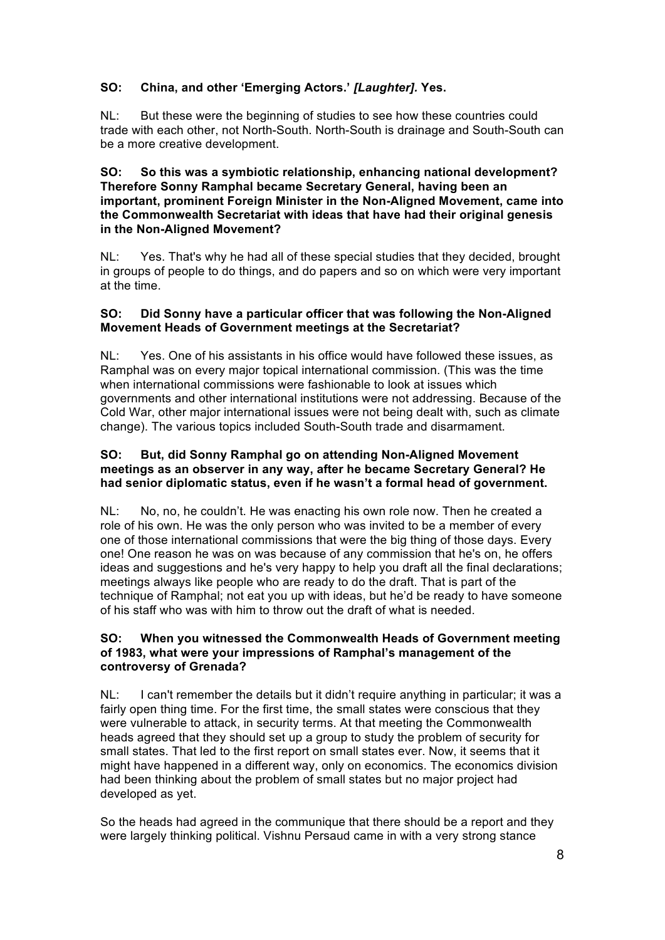# **SO: China, and other 'Emerging Actors.'** *[Laughter].* **Yes.**

NL: But these were the beginning of studies to see how these countries could trade with each other, not North-South. North-South is drainage and South-South can be a more creative development.

### **SO: So this was a symbiotic relationship, enhancing national development? Therefore Sonny Ramphal became Secretary General, having been an important, prominent Foreign Minister in the Non-Aligned Movement, came into the Commonwealth Secretariat with ideas that have had their original genesis in the Non-Aligned Movement?**

NL: Yes. That's why he had all of these special studies that they decided, brought in groups of people to do things, and do papers and so on which were very important at the time.

### **SO: Did Sonny have a particular officer that was following the Non-Aligned Movement Heads of Government meetings at the Secretariat?**

NL: Yes. One of his assistants in his office would have followed these issues, as Ramphal was on every major topical international commission. (This was the time when international commissions were fashionable to look at issues which governments and other international institutions were not addressing. Because of the Cold War, other major international issues were not being dealt with, such as climate change). The various topics included South-South trade and disarmament.

### **SO: But, did Sonny Ramphal go on attending Non-Aligned Movement meetings as an observer in any way, after he became Secretary General? He had senior diplomatic status, even if he wasn't a formal head of government.**

NL: No, no, he couldn't. He was enacting his own role now. Then he created a role of his own. He was the only person who was invited to be a member of every one of those international commissions that were the big thing of those days. Every one! One reason he was on was because of any commission that he's on, he offers ideas and suggestions and he's very happy to help you draft all the final declarations; meetings always like people who are ready to do the draft. That is part of the technique of Ramphal; not eat you up with ideas, but he'd be ready to have someone of his staff who was with him to throw out the draft of what is needed.

### **SO: When you witnessed the Commonwealth Heads of Government meeting of 1983, what were your impressions of Ramphal's management of the controversy of Grenada?**

NL: I can't remember the details but it didn't require anything in particular; it was a fairly open thing time. For the first time, the small states were conscious that they were vulnerable to attack, in security terms. At that meeting the Commonwealth heads agreed that they should set up a group to study the problem of security for small states. That led to the first report on small states ever. Now, it seems that it might have happened in a different way, only on economics. The economics division had been thinking about the problem of small states but no major project had developed as yet.

So the heads had agreed in the communique that there should be a report and they were largely thinking political. Vishnu Persaud came in with a very strong stance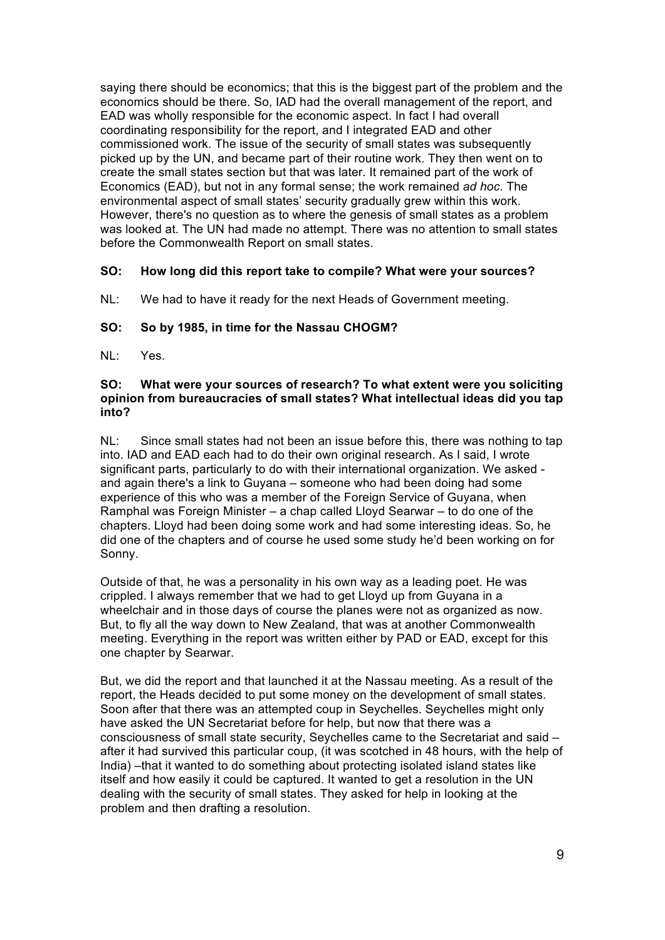saying there should be economics; that this is the biggest part of the problem and the economics should be there. So, IAD had the overall management of the report, and EAD was wholly responsible for the economic aspect. In fact I had overall coordinating responsibility for the report, and I integrated EAD and other commissioned work. The issue of the security of small states was subsequently picked up by the UN, and became part of their routine work. They then went on to create the small states section but that was later. It remained part of the work of Economics (EAD), but not in any formal sense; the work remained *ad hoc*. The environmental aspect of small states' security gradually grew within this work. However, there's no question as to where the genesis of small states as a problem was looked at. The UN had made no attempt. There was no attention to small states before the Commonwealth Report on small states.

### **SO: How long did this report take to compile? What were your sources?**

NL: We had to have it ready for the next Heads of Government meeting.

### **SO: So by 1985, in time for the Nassau CHOGM?**

 $NI: Yes$ 

### **SO: What were your sources of research? To what extent were you soliciting opinion from bureaucracies of small states? What intellectual ideas did you tap into?**

NL: Since small states had not been an issue before this, there was nothing to tap into. IAD and EAD each had to do their own original research. As I said, I wrote significant parts, particularly to do with their international organization. We asked and again there's a link to Guyana – someone who had been doing had some experience of this who was a member of the Foreign Service of Guyana, when Ramphal was Foreign Minister – a chap called Lloyd Searwar – to do one of the chapters. Lloyd had been doing some work and had some interesting ideas. So, he did one of the chapters and of course he used some study he'd been working on for Sonny.

Outside of that, he was a personality in his own way as a leading poet. He was crippled. I always remember that we had to get Lloyd up from Guyana in a wheelchair and in those days of course the planes were not as organized as now. But, to fly all the way down to New Zealand, that was at another Commonwealth meeting. Everything in the report was written either by PAD or EAD, except for this one chapter by Searwar.

But, we did the report and that launched it at the Nassau meeting. As a result of the report, the Heads decided to put some money on the development of small states. Soon after that there was an attempted coup in Seychelles. Seychelles might only have asked the UN Secretariat before for help, but now that there was a consciousness of small state security, Seychelles came to the Secretariat and said – after it had survived this particular coup, (it was scotched in 48 hours, with the help of India) –that it wanted to do something about protecting isolated island states like itself and how easily it could be captured. It wanted to get a resolution in the UN dealing with the security of small states. They asked for help in looking at the problem and then drafting a resolution.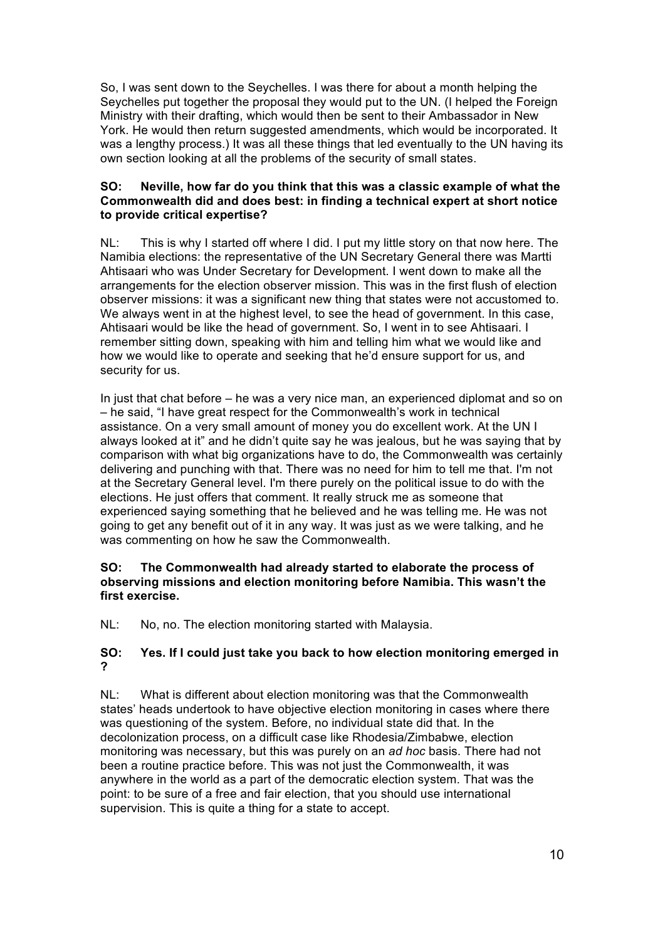So, I was sent down to the Seychelles. I was there for about a month helping the Seychelles put together the proposal they would put to the UN. (I helped the Foreign Ministry with their drafting, which would then be sent to their Ambassador in New York. He would then return suggested amendments, which would be incorporated. It was a lengthy process.) It was all these things that led eventually to the UN having its own section looking at all the problems of the security of small states.

# **SO: Neville, how far do you think that this was a classic example of what the Commonwealth did and does best: in finding a technical expert at short notice to provide critical expertise?**

NL: This is why I started off where I did. I put my little story on that now here. The Namibia elections: the representative of the UN Secretary General there was Martti Ahtisaari who was Under Secretary for Development. I went down to make all the arrangements for the election observer mission. This was in the first flush of election observer missions: it was a significant new thing that states were not accustomed to. We always went in at the highest level, to see the head of government. In this case, Ahtisaari would be like the head of government. So, I went in to see Ahtisaari. I remember sitting down, speaking with him and telling him what we would like and how we would like to operate and seeking that he'd ensure support for us, and security for us.

In just that chat before – he was a very nice man, an experienced diplomat and so on – he said, "I have great respect for the Commonwealth's work in technical assistance. On a very small amount of money you do excellent work. At the UN I always looked at it" and he didn't quite say he was jealous, but he was saying that by comparison with what big organizations have to do, the Commonwealth was certainly delivering and punching with that. There was no need for him to tell me that. I'm not at the Secretary General level. I'm there purely on the political issue to do with the elections. He just offers that comment. It really struck me as someone that experienced saying something that he believed and he was telling me. He was not going to get any benefit out of it in any way. It was just as we were talking, and he was commenting on how he saw the Commonwealth.

# **SO: The Commonwealth had already started to elaborate the process of observing missions and election monitoring before Namibia. This wasn't the first exercise.**

NL: No, no. The election monitoring started with Malaysia.

# **SO: Yes. If I could just take you back to how election monitoring emerged in ?**

NL: What is different about election monitoring was that the Commonwealth states' heads undertook to have objective election monitoring in cases where there was questioning of the system. Before, no individual state did that. In the decolonization process, on a difficult case like Rhodesia/Zimbabwe, election monitoring was necessary, but this was purely on an *ad hoc* basis. There had not been a routine practice before. This was not just the Commonwealth, it was anywhere in the world as a part of the democratic election system. That was the point: to be sure of a free and fair election, that you should use international supervision. This is quite a thing for a state to accept.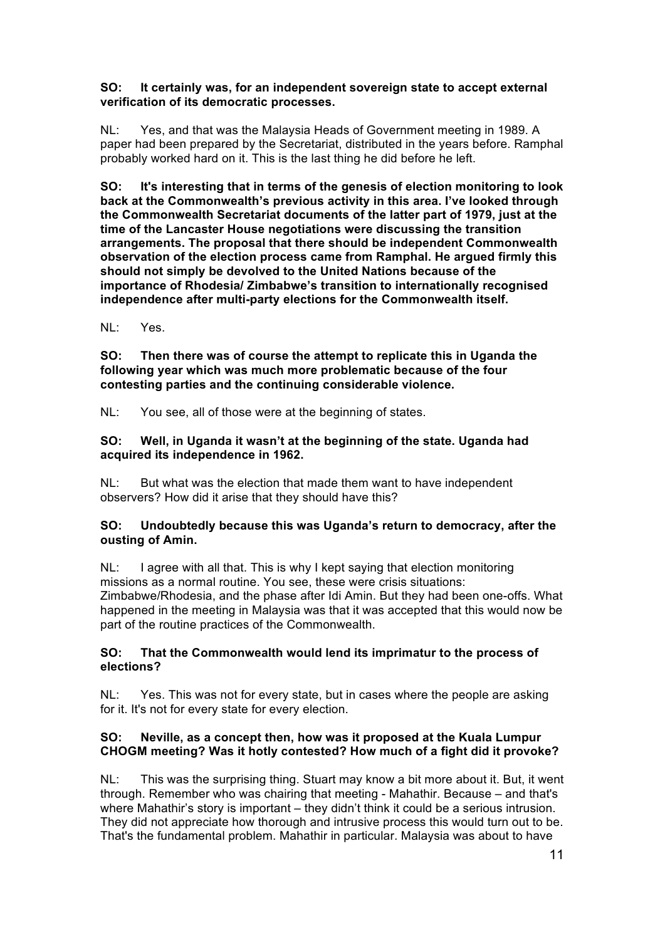# **SO: It certainly was, for an independent sovereign state to accept external verification of its democratic processes.**

NL: Yes, and that was the Malaysia Heads of Government meeting in 1989. A paper had been prepared by the Secretariat, distributed in the years before. Ramphal probably worked hard on it. This is the last thing he did before he left.

**SO: It's interesting that in terms of the genesis of election monitoring to look back at the Commonwealth's previous activity in this area. I've looked through the Commonwealth Secretariat documents of the latter part of 1979, just at the time of the Lancaster House negotiations were discussing the transition arrangements. The proposal that there should be independent Commonwealth observation of the election process came from Ramphal. He argued firmly this should not simply be devolved to the United Nations because of the importance of Rhodesia/ Zimbabwe's transition to internationally recognised independence after multi-party elections for the Commonwealth itself.** 

NL: Yes.

**SO: Then there was of course the attempt to replicate this in Uganda the following year which was much more problematic because of the four contesting parties and the continuing considerable violence.** 

NL: You see, all of those were at the beginning of states.

# **SO: Well, in Uganda it wasn't at the beginning of the state. Uganda had acquired its independence in 1962.**

NL: But what was the election that made them want to have independent observers? How did it arise that they should have this?

# **SO: Undoubtedly because this was Uganda's return to democracy, after the ousting of Amin.**

NL: I agree with all that. This is why I kept saying that election monitoring missions as a normal routine. You see, these were crisis situations: Zimbabwe/Rhodesia, and the phase after Idi Amin. But they had been one-offs. What happened in the meeting in Malaysia was that it was accepted that this would now be part of the routine practices of the Commonwealth.

# **SO: That the Commonwealth would lend its imprimatur to the process of elections?**

NL: Yes. This was not for every state, but in cases where the people are asking for it. It's not for every state for every election.

# **SO: Neville, as a concept then, how was it proposed at the Kuala Lumpur CHOGM meeting? Was it hotly contested? How much of a fight did it provoke?**

NL: This was the surprising thing. Stuart may know a bit more about it. But, it went through. Remember who was chairing that meeting - Mahathir. Because – and that's where Mahathir's story is important – they didn't think it could be a serious intrusion. They did not appreciate how thorough and intrusive process this would turn out to be. That's the fundamental problem. Mahathir in particular. Malaysia was about to have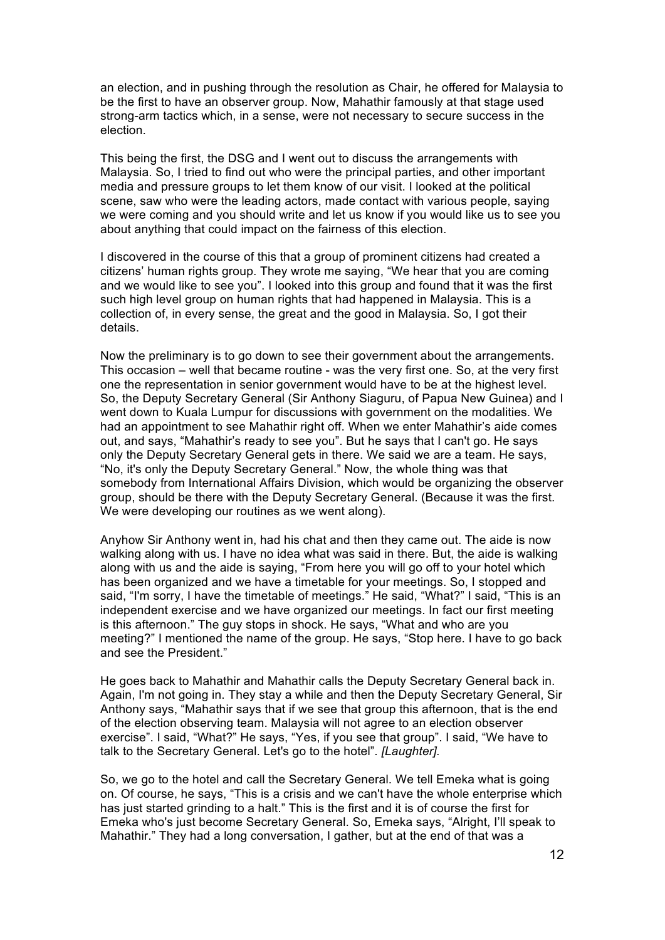an election, and in pushing through the resolution as Chair, he offered for Malaysia to be the first to have an observer group. Now, Mahathir famously at that stage used strong-arm tactics which, in a sense, were not necessary to secure success in the election.

This being the first, the DSG and I went out to discuss the arrangements with Malaysia. So, I tried to find out who were the principal parties, and other important media and pressure groups to let them know of our visit. I looked at the political scene, saw who were the leading actors, made contact with various people, saying we were coming and you should write and let us know if you would like us to see you about anything that could impact on the fairness of this election.

I discovered in the course of this that a group of prominent citizens had created a citizens' human rights group. They wrote me saying, "We hear that you are coming and we would like to see you". I looked into this group and found that it was the first such high level group on human rights that had happened in Malaysia. This is a collection of, in every sense, the great and the good in Malaysia. So, I got their details.

Now the preliminary is to go down to see their government about the arrangements. This occasion – well that became routine - was the very first one. So, at the very first one the representation in senior government would have to be at the highest level. So, the Deputy Secretary General (Sir Anthony Siaguru, of Papua New Guinea) and I went down to Kuala Lumpur for discussions with government on the modalities. We had an appointment to see Mahathir right off. When we enter Mahathir's aide comes out, and says, "Mahathir's ready to see you". But he says that I can't go. He says only the Deputy Secretary General gets in there. We said we are a team. He says, "No, it's only the Deputy Secretary General." Now, the whole thing was that somebody from International Affairs Division, which would be organizing the observer group, should be there with the Deputy Secretary General. (Because it was the first. We were developing our routines as we went along).

Anyhow Sir Anthony went in, had his chat and then they came out. The aide is now walking along with us. I have no idea what was said in there. But, the aide is walking along with us and the aide is saying, "From here you will go off to your hotel which has been organized and we have a timetable for your meetings. So, I stopped and said, "I'm sorry, I have the timetable of meetings." He said, "What?" I said, "This is an independent exercise and we have organized our meetings. In fact our first meeting is this afternoon." The guy stops in shock. He says, "What and who are you meeting?" I mentioned the name of the group. He says, "Stop here. I have to go back and see the President."

He goes back to Mahathir and Mahathir calls the Deputy Secretary General back in. Again, I'm not going in. They stay a while and then the Deputy Secretary General, Sir Anthony says, "Mahathir says that if we see that group this afternoon, that is the end of the election observing team. Malaysia will not agree to an election observer exercise". I said, "What?" He says, "Yes, if you see that group". I said, "We have to talk to the Secretary General. Let's go to the hotel". *[Laughter].*

So, we go to the hotel and call the Secretary General. We tell Emeka what is going on. Of course, he says, "This is a crisis and we can't have the whole enterprise which has just started grinding to a halt." This is the first and it is of course the first for Emeka who's just become Secretary General. So, Emeka says, "Alright, I'll speak to Mahathir." They had a long conversation, I gather, but at the end of that was a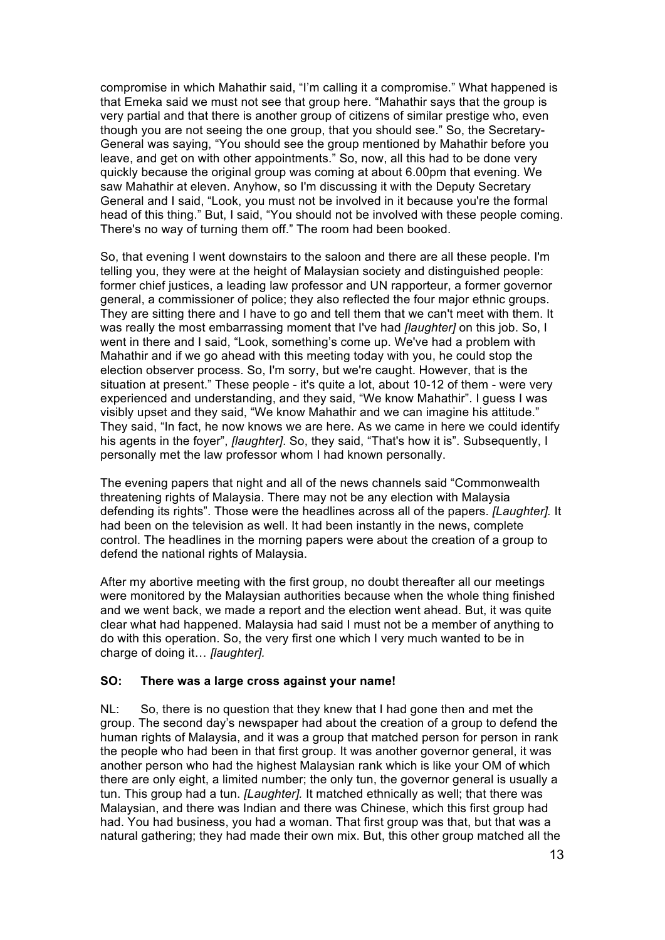compromise in which Mahathir said, "I'm calling it a compromise." What happened is that Emeka said we must not see that group here. "Mahathir says that the group is very partial and that there is another group of citizens of similar prestige who, even though you are not seeing the one group, that you should see." So, the Secretary-General was saying, "You should see the group mentioned by Mahathir before you leave, and get on with other appointments." So, now, all this had to be done very quickly because the original group was coming at about 6.00pm that evening. We saw Mahathir at eleven. Anyhow, so I'm discussing it with the Deputy Secretary General and I said, "Look, you must not be involved in it because you're the formal head of this thing." But, I said, "You should not be involved with these people coming. There's no way of turning them off." The room had been booked.

So, that evening I went downstairs to the saloon and there are all these people. I'm telling you, they were at the height of Malaysian society and distinguished people: former chief justices, a leading law professor and UN rapporteur, a former governor general, a commissioner of police; they also reflected the four major ethnic groups. They are sitting there and I have to go and tell them that we can't meet with them. It was really the most embarrassing moment that I've had *[laughter]* on this job. So, I went in there and I said, "Look, something's come up. We've had a problem with Mahathir and if we go ahead with this meeting today with you, he could stop the election observer process. So, I'm sorry, but we're caught. However, that is the situation at present." These people - it's quite a lot, about 10-12 of them - were very experienced and understanding, and they said, "We know Mahathir". I guess I was visibly upset and they said, "We know Mahathir and we can imagine his attitude." They said, "In fact, he now knows we are here. As we came in here we could identify his agents in the foyer", *[laughter]*. So, they said, "That's how it is". Subsequently, I personally met the law professor whom I had known personally.

The evening papers that night and all of the news channels said "Commonwealth threatening rights of Malaysia. There may not be any election with Malaysia defending its rights". Those were the headlines across all of the papers. *[Laughter].* It had been on the television as well. It had been instantly in the news, complete control. The headlines in the morning papers were about the creation of a group to defend the national rights of Malaysia.

After my abortive meeting with the first group, no doubt thereafter all our meetings were monitored by the Malaysian authorities because when the whole thing finished and we went back, we made a report and the election went ahead. But, it was quite clear what had happened. Malaysia had said I must not be a member of anything to do with this operation. So, the very first one which I very much wanted to be in charge of doing it… *[laughter].*

# **SO: There was a large cross against your name!**

NL: So, there is no question that they knew that I had gone then and met the group. The second day's newspaper had about the creation of a group to defend the human rights of Malaysia, and it was a group that matched person for person in rank the people who had been in that first group. It was another governor general, it was another person who had the highest Malaysian rank which is like your OM of which there are only eight, a limited number; the only tun, the governor general is usually a tun. This group had a tun. *[Laughter].* It matched ethnically as well; that there was Malaysian, and there was Indian and there was Chinese, which this first group had had. You had business, you had a woman. That first group was that, but that was a natural gathering; they had made their own mix. But, this other group matched all the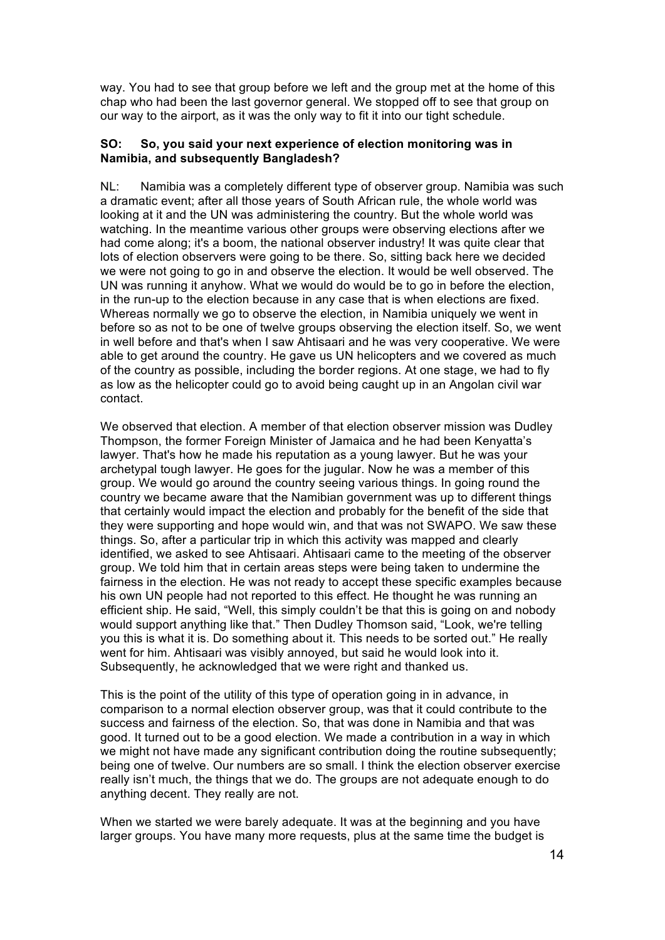way. You had to see that group before we left and the group met at the home of this chap who had been the last governor general. We stopped off to see that group on our way to the airport, as it was the only way to fit it into our tight schedule.

#### **SO: So, you said your next experience of election monitoring was in Namibia, and subsequently Bangladesh?**

NL: Namibia was a completely different type of observer group. Namibia was such a dramatic event; after all those years of South African rule, the whole world was looking at it and the UN was administering the country. But the whole world was watching. In the meantime various other groups were observing elections after we had come along; it's a boom, the national observer industry! It was quite clear that lots of election observers were going to be there. So, sitting back here we decided we were not going to go in and observe the election. It would be well observed. The UN was running it anyhow. What we would do would be to go in before the election, in the run-up to the election because in any case that is when elections are fixed. Whereas normally we go to observe the election, in Namibia uniquely we went in before so as not to be one of twelve groups observing the election itself. So, we went in well before and that's when I saw Ahtisaari and he was very cooperative. We were able to get around the country. He gave us UN helicopters and we covered as much of the country as possible, including the border regions. At one stage, we had to fly as low as the helicopter could go to avoid being caught up in an Angolan civil war contact.

We observed that election. A member of that election observer mission was Dudley Thompson, the former Foreign Minister of Jamaica and he had been Kenyatta's lawyer. That's how he made his reputation as a young lawyer. But he was your archetypal tough lawyer. He goes for the jugular. Now he was a member of this group. We would go around the country seeing various things. In going round the country we became aware that the Namibian government was up to different things that certainly would impact the election and probably for the benefit of the side that they were supporting and hope would win, and that was not SWAPO. We saw these things. So, after a particular trip in which this activity was mapped and clearly identified, we asked to see Ahtisaari. Ahtisaari came to the meeting of the observer group. We told him that in certain areas steps were being taken to undermine the fairness in the election. He was not ready to accept these specific examples because his own UN people had not reported to this effect. He thought he was running an efficient ship. He said, "Well, this simply couldn't be that this is going on and nobody would support anything like that." Then Dudley Thomson said, "Look, we're telling you this is what it is. Do something about it. This needs to be sorted out." He really went for him. Ahtisaari was visibly annoyed, but said he would look into it. Subsequently, he acknowledged that we were right and thanked us.

This is the point of the utility of this type of operation going in in advance, in comparison to a normal election observer group, was that it could contribute to the success and fairness of the election. So, that was done in Namibia and that was good. It turned out to be a good election. We made a contribution in a way in which we might not have made any significant contribution doing the routine subsequently; being one of twelve. Our numbers are so small. I think the election observer exercise really isn't much, the things that we do. The groups are not adequate enough to do anything decent. They really are not.

When we started we were barely adequate. It was at the beginning and you have larger groups. You have many more requests, plus at the same time the budget is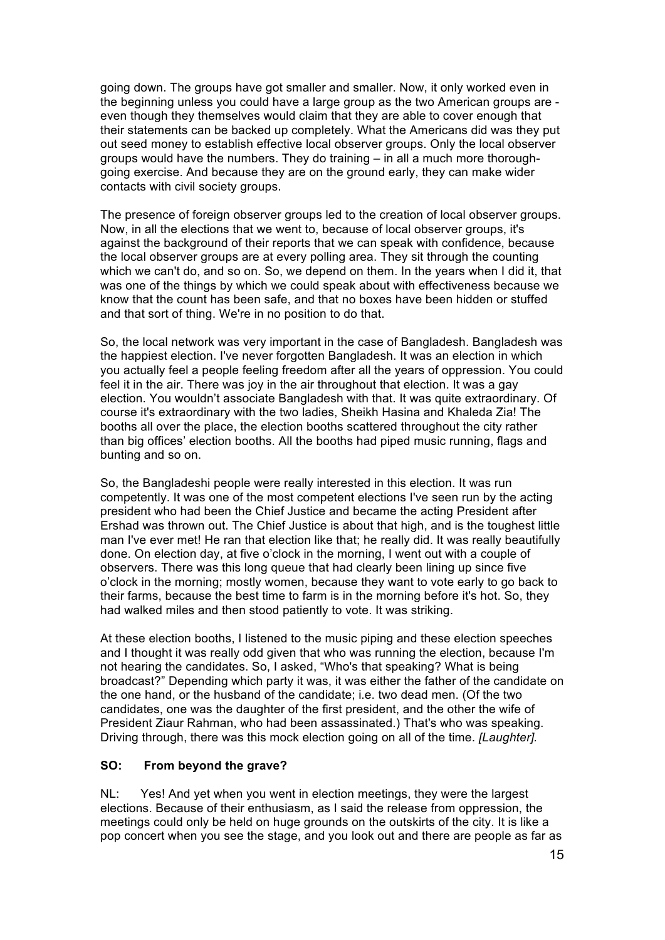going down. The groups have got smaller and smaller. Now, it only worked even in the beginning unless you could have a large group as the two American groups are even though they themselves would claim that they are able to cover enough that their statements can be backed up completely. What the Americans did was they put out seed money to establish effective local observer groups. Only the local observer groups would have the numbers. They do training – in all a much more thoroughgoing exercise. And because they are on the ground early, they can make wider contacts with civil society groups.

The presence of foreign observer groups led to the creation of local observer groups. Now, in all the elections that we went to, because of local observer groups, it's against the background of their reports that we can speak with confidence, because the local observer groups are at every polling area. They sit through the counting which we can't do, and so on. So, we depend on them. In the years when I did it, that was one of the things by which we could speak about with effectiveness because we know that the count has been safe, and that no boxes have been hidden or stuffed and that sort of thing. We're in no position to do that.

So, the local network was very important in the case of Bangladesh. Bangladesh was the happiest election. I've never forgotten Bangladesh. It was an election in which you actually feel a people feeling freedom after all the years of oppression. You could feel it in the air. There was joy in the air throughout that election. It was a gay election. You wouldn't associate Bangladesh with that. It was quite extraordinary. Of course it's extraordinary with the two ladies, Sheikh Hasina and Khaleda Zia! The booths all over the place, the election booths scattered throughout the city rather than big offices' election booths. All the booths had piped music running, flags and bunting and so on.

So, the Bangladeshi people were really interested in this election. It was run competently. It was one of the most competent elections I've seen run by the acting president who had been the Chief Justice and became the acting President after Ershad was thrown out. The Chief Justice is about that high, and is the toughest little man I've ever met! He ran that election like that; he really did. It was really beautifully done. On election day, at five o'clock in the morning, I went out with a couple of observers. There was this long queue that had clearly been lining up since five o'clock in the morning; mostly women, because they want to vote early to go back to their farms, because the best time to farm is in the morning before it's hot. So, they had walked miles and then stood patiently to vote. It was striking.

At these election booths, I listened to the music piping and these election speeches and I thought it was really odd given that who was running the election, because I'm not hearing the candidates. So, I asked, "Who's that speaking? What is being broadcast?" Depending which party it was, it was either the father of the candidate on the one hand, or the husband of the candidate; i.e. two dead men. (Of the two candidates, one was the daughter of the first president, and the other the wife of President Ziaur Rahman, who had been assassinated.) That's who was speaking. Driving through, there was this mock election going on all of the time. *[Laughter].*

# **SO: From beyond the grave?**

NL: Yes! And yet when you went in election meetings, they were the largest elections. Because of their enthusiasm, as I said the release from oppression, the meetings could only be held on huge grounds on the outskirts of the city. It is like a pop concert when you see the stage, and you look out and there are people as far as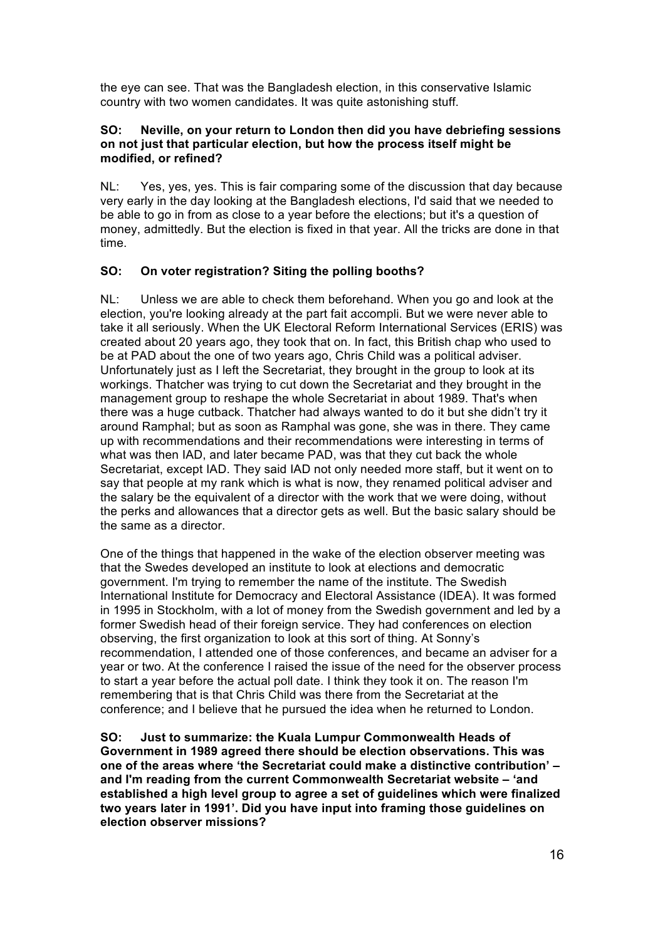the eye can see. That was the Bangladesh election, in this conservative Islamic country with two women candidates. It was quite astonishing stuff.

### **SO: Neville, on your return to London then did you have debriefing sessions on not just that particular election, but how the process itself might be modified, or refined?**

NL: Yes, yes, yes. This is fair comparing some of the discussion that day because very early in the day looking at the Bangladesh elections, I'd said that we needed to be able to go in from as close to a year before the elections; but it's a question of money, admittedly. But the election is fixed in that year. All the tricks are done in that time.

# **SO: On voter registration? Siting the polling booths?**

NL: Unless we are able to check them beforehand. When you go and look at the election, you're looking already at the part fait accompli. But we were never able to take it all seriously. When the UK Electoral Reform International Services (ERIS) was created about 20 years ago, they took that on. In fact, this British chap who used to be at PAD about the one of two years ago, Chris Child was a political adviser. Unfortunately just as I left the Secretariat, they brought in the group to look at its workings. Thatcher was trying to cut down the Secretariat and they brought in the management group to reshape the whole Secretariat in about 1989. That's when there was a huge cutback. Thatcher had always wanted to do it but she didn't try it around Ramphal; but as soon as Ramphal was gone, she was in there. They came up with recommendations and their recommendations were interesting in terms of what was then IAD, and later became PAD, was that they cut back the whole Secretariat, except IAD. They said IAD not only needed more staff, but it went on to say that people at my rank which is what is now, they renamed political adviser and the salary be the equivalent of a director with the work that we were doing, without the perks and allowances that a director gets as well. But the basic salary should be the same as a director.

One of the things that happened in the wake of the election observer meeting was that the Swedes developed an institute to look at elections and democratic government. I'm trying to remember the name of the institute. The Swedish International Institute for Democracy and Electoral Assistance (IDEA). It was formed in 1995 in Stockholm, with a lot of money from the Swedish government and led by a former Swedish head of their foreign service. They had conferences on election observing, the first organization to look at this sort of thing. At Sonny's recommendation, I attended one of those conferences, and became an adviser for a year or two. At the conference I raised the issue of the need for the observer process to start a year before the actual poll date. I think they took it on. The reason I'm remembering that is that Chris Child was there from the Secretariat at the conference; and I believe that he pursued the idea when he returned to London.

**SO: Just to summarize: the Kuala Lumpur Commonwealth Heads of Government in 1989 agreed there should be election observations. This was one of the areas where 'the Secretariat could make a distinctive contribution' – and I'm reading from the current Commonwealth Secretariat website – 'and established a high level group to agree a set of guidelines which were finalized two years later in 1991'. Did you have input into framing those guidelines on election observer missions?**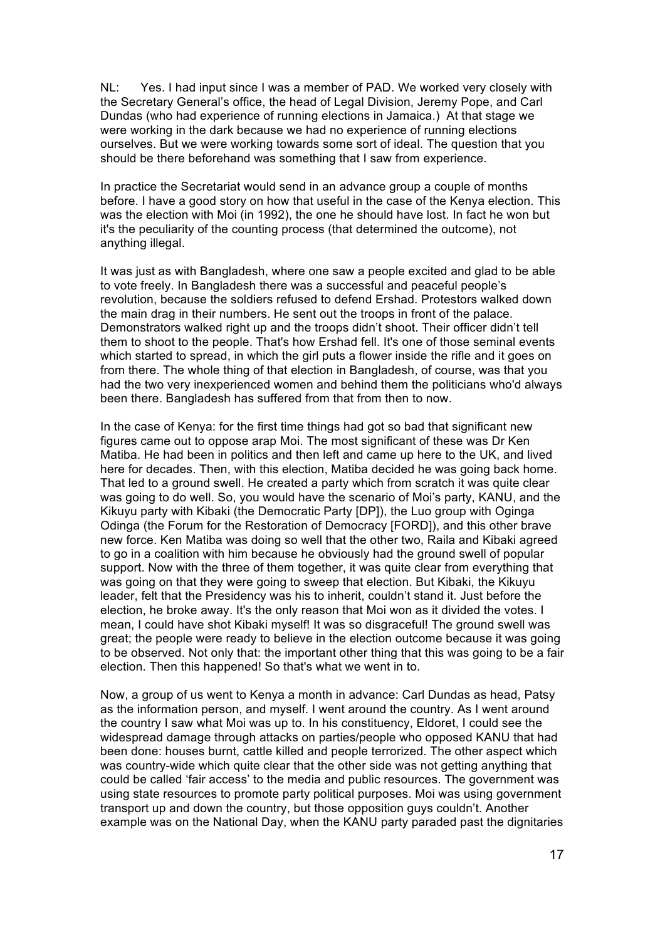NL: Yes. I had input since I was a member of PAD. We worked very closely with the Secretary General's office, the head of Legal Division, Jeremy Pope, and Carl Dundas (who had experience of running elections in Jamaica.) At that stage we were working in the dark because we had no experience of running elections ourselves. But we were working towards some sort of ideal. The question that you should be there beforehand was something that I saw from experience.

In practice the Secretariat would send in an advance group a couple of months before. I have a good story on how that useful in the case of the Kenya election. This was the election with Moi (in 1992), the one he should have lost. In fact he won but it's the peculiarity of the counting process (that determined the outcome), not anything illegal.

It was just as with Bangladesh, where one saw a people excited and glad to be able to vote freely. In Bangladesh there was a successful and peaceful people's revolution, because the soldiers refused to defend Ershad. Protestors walked down the main drag in their numbers. He sent out the troops in front of the palace. Demonstrators walked right up and the troops didn't shoot. Their officer didn't tell them to shoot to the people. That's how Ershad fell. It's one of those seminal events which started to spread, in which the girl puts a flower inside the rifle and it goes on from there. The whole thing of that election in Bangladesh, of course, was that you had the two very inexperienced women and behind them the politicians who'd always been there. Bangladesh has suffered from that from then to now.

In the case of Kenya: for the first time things had got so bad that significant new figures came out to oppose arap Moi. The most significant of these was Dr Ken Matiba. He had been in politics and then left and came up here to the UK, and lived here for decades. Then, with this election, Matiba decided he was going back home. That led to a ground swell. He created a party which from scratch it was quite clear was going to do well. So, you would have the scenario of Moi's party, KANU, and the Kikuyu party with Kibaki (the Democratic Party [DP]), the Luo group with Oginga Odinga (the Forum for the Restoration of Democracy [FORD]), and this other brave new force. Ken Matiba was doing so well that the other two, Raila and Kibaki agreed to go in a coalition with him because he obviously had the ground swell of popular support. Now with the three of them together, it was quite clear from everything that was going on that they were going to sweep that election. But Kibaki, the Kikuyu leader, felt that the Presidency was his to inherit, couldn't stand it. Just before the election, he broke away. It's the only reason that Moi won as it divided the votes. I mean, I could have shot Kibaki myself! It was so disgraceful! The ground swell was great; the people were ready to believe in the election outcome because it was going to be observed. Not only that: the important other thing that this was going to be a fair election. Then this happened! So that's what we went in to.

Now, a group of us went to Kenya a month in advance: Carl Dundas as head, Patsy as the information person, and myself. I went around the country. As I went around the country I saw what Moi was up to. In his constituency, Eldoret, I could see the widespread damage through attacks on parties/people who opposed KANU that had been done: houses burnt, cattle killed and people terrorized. The other aspect which was country-wide which quite clear that the other side was not getting anything that could be called 'fair access' to the media and public resources. The government was using state resources to promote party political purposes. Moi was using government transport up and down the country, but those opposition guys couldn't. Another example was on the National Day, when the KANU party paraded past the dignitaries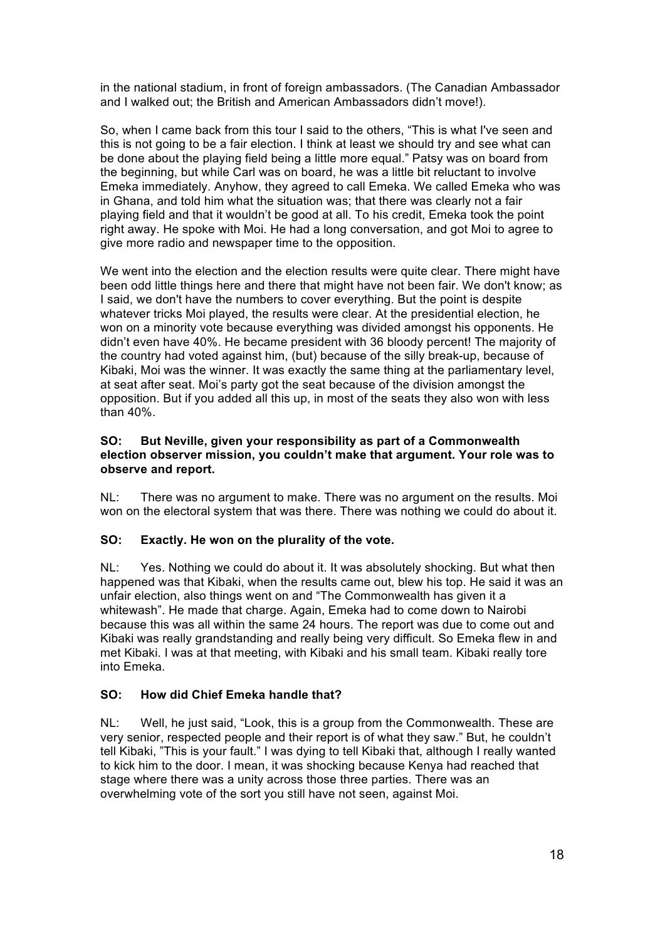in the national stadium, in front of foreign ambassadors. (The Canadian Ambassador and I walked out; the British and American Ambassadors didn't move!).

So, when I came back from this tour I said to the others, "This is what I've seen and this is not going to be a fair election. I think at least we should try and see what can be done about the playing field being a little more equal." Patsy was on board from the beginning, but while Carl was on board, he was a little bit reluctant to involve Emeka immediately. Anyhow, they agreed to call Emeka. We called Emeka who was in Ghana, and told him what the situation was; that there was clearly not a fair playing field and that it wouldn't be good at all. To his credit, Emeka took the point right away. He spoke with Moi. He had a long conversation, and got Moi to agree to give more radio and newspaper time to the opposition.

We went into the election and the election results were quite clear. There might have been odd little things here and there that might have not been fair. We don't know; as I said, we don't have the numbers to cover everything. But the point is despite whatever tricks Moi played, the results were clear. At the presidential election, he won on a minority vote because everything was divided amongst his opponents. He didn't even have 40%. He became president with 36 bloody percent! The majority of the country had voted against him, (but) because of the silly break-up, because of Kibaki, Moi was the winner. It was exactly the same thing at the parliamentary level, at seat after seat. Moi's party got the seat because of the division amongst the opposition. But if you added all this up, in most of the seats they also won with less than 40%.

### **SO: But Neville, given your responsibility as part of a Commonwealth election observer mission, you couldn't make that argument. Your role was to observe and report.**

NL: There was no argument to make. There was no argument on the results. Moi won on the electoral system that was there. There was nothing we could do about it.

# **SO: Exactly. He won on the plurality of the vote.**

NL: Yes. Nothing we could do about it. It was absolutely shocking. But what then happened was that Kibaki, when the results came out, blew his top. He said it was an unfair election, also things went on and "The Commonwealth has given it a whitewash". He made that charge. Again, Emeka had to come down to Nairobi because this was all within the same 24 hours. The report was due to come out and Kibaki was really grandstanding and really being very difficult. So Emeka flew in and met Kibaki. I was at that meeting, with Kibaki and his small team. Kibaki really tore into Emeka.

# **SO: How did Chief Emeka handle that?**

NL: Well, he just said, "Look, this is a group from the Commonwealth. These are very senior, respected people and their report is of what they saw." But, he couldn't tell Kibaki, "This is your fault." I was dying to tell Kibaki that, although I really wanted to kick him to the door. I mean, it was shocking because Kenya had reached that stage where there was a unity across those three parties. There was an overwhelming vote of the sort you still have not seen, against Moi.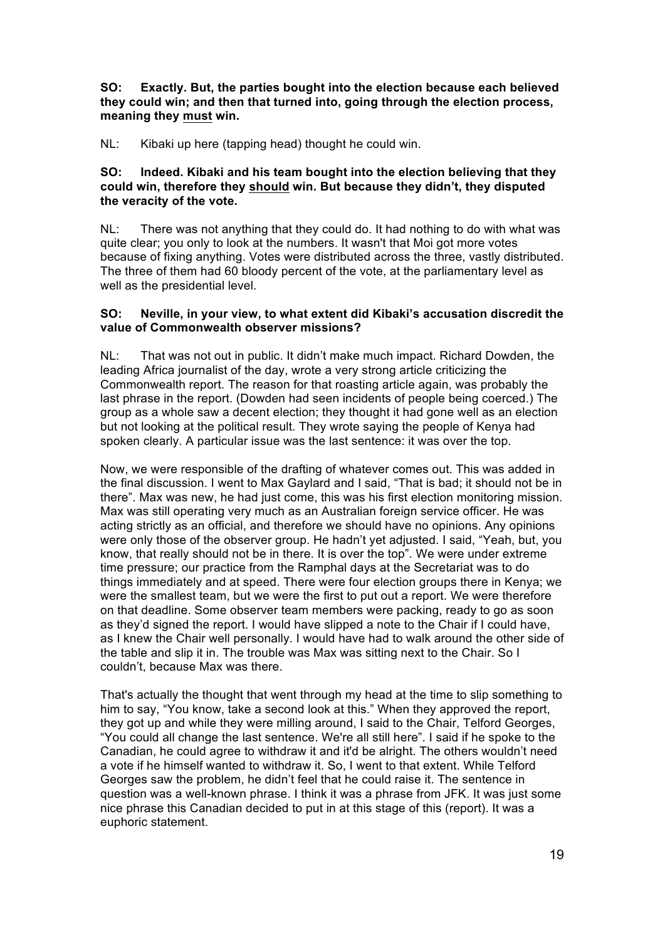**SO: Exactly. But, the parties bought into the election because each believed they could win; and then that turned into, going through the election process, meaning they must win.** 

NL: Kibaki up here (tapping head) thought he could win.

### **SO: Indeed. Kibaki and his team bought into the election believing that they could win, therefore they should win. But because they didn't, they disputed the veracity of the vote.**

NL: There was not anything that they could do. It had nothing to do with what was quite clear; you only to look at the numbers. It wasn't that Moi got more votes because of fixing anything. Votes were distributed across the three, vastly distributed. The three of them had 60 bloody percent of the vote, at the parliamentary level as well as the presidential level.

### **SO: Neville, in your view, to what extent did Kibaki's accusation discredit the value of Commonwealth observer missions?**

NL: That was not out in public. It didn't make much impact. Richard Dowden, the leading Africa journalist of the day, wrote a very strong article criticizing the Commonwealth report. The reason for that roasting article again, was probably the last phrase in the report. (Dowden had seen incidents of people being coerced.) The group as a whole saw a decent election; they thought it had gone well as an election but not looking at the political result. They wrote saying the people of Kenya had spoken clearly. A particular issue was the last sentence: it was over the top.

Now, we were responsible of the drafting of whatever comes out. This was added in the final discussion. I went to Max Gaylard and I said, "That is bad; it should not be in there". Max was new, he had just come, this was his first election monitoring mission. Max was still operating very much as an Australian foreign service officer. He was acting strictly as an official, and therefore we should have no opinions. Any opinions were only those of the observer group. He hadn't yet adjusted. I said, "Yeah, but, you know, that really should not be in there. It is over the top". We were under extreme time pressure; our practice from the Ramphal days at the Secretariat was to do things immediately and at speed. There were four election groups there in Kenya; we were the smallest team, but we were the first to put out a report. We were therefore on that deadline. Some observer team members were packing, ready to go as soon as they'd signed the report. I would have slipped a note to the Chair if I could have, as I knew the Chair well personally. I would have had to walk around the other side of the table and slip it in. The trouble was Max was sitting next to the Chair. So I couldn't, because Max was there.

That's actually the thought that went through my head at the time to slip something to him to say, "You know, take a second look at this." When they approved the report, they got up and while they were milling around, I said to the Chair, Telford Georges, "You could all change the last sentence. We're all still here". I said if he spoke to the Canadian, he could agree to withdraw it and it'd be alright. The others wouldn't need a vote if he himself wanted to withdraw it. So, I went to that extent. While Telford Georges saw the problem, he didn't feel that he could raise it. The sentence in question was a well-known phrase. I think it was a phrase from JFK. It was just some nice phrase this Canadian decided to put in at this stage of this (report). It was a euphoric statement.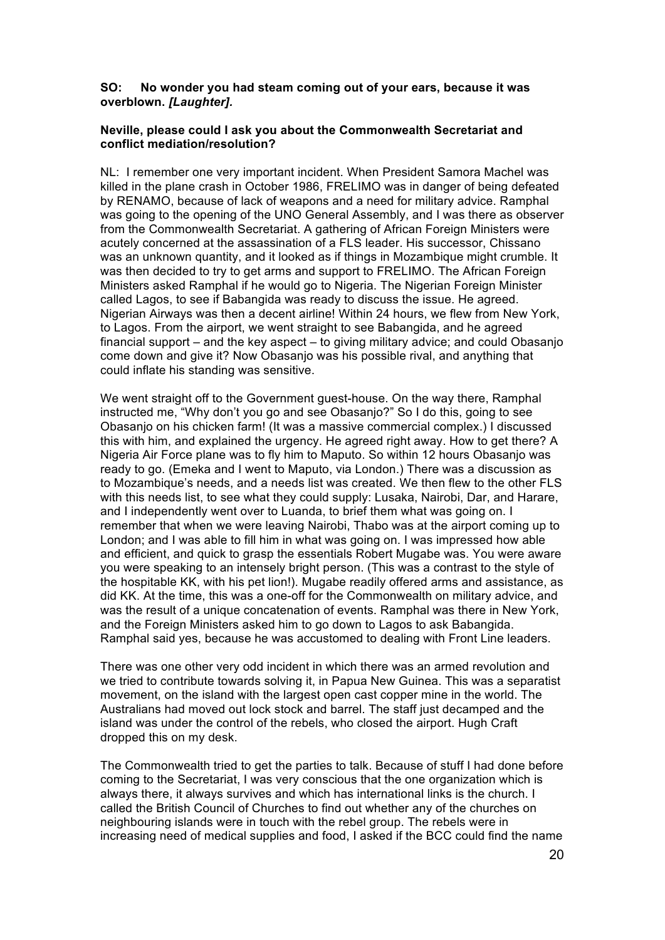### **SO: No wonder you had steam coming out of your ears, because it was overblown.** *[Laughter].*

### **Neville, please could I ask you about the Commonwealth Secretariat and conflict mediation/resolution?**

NL: I remember one very important incident. When President Samora Machel was killed in the plane crash in October 1986, FRELIMO was in danger of being defeated by RENAMO, because of lack of weapons and a need for military advice. Ramphal was going to the opening of the UNO General Assembly, and I was there as observer from the Commonwealth Secretariat. A gathering of African Foreign Ministers were acutely concerned at the assassination of a FLS leader. His successor, Chissano was an unknown quantity, and it looked as if things in Mozambique might crumble. It was then decided to try to get arms and support to FRELIMO. The African Foreign Ministers asked Ramphal if he would go to Nigeria. The Nigerian Foreign Minister called Lagos, to see if Babangida was ready to discuss the issue. He agreed. Nigerian Airways was then a decent airline! Within 24 hours, we flew from New York, to Lagos. From the airport, we went straight to see Babangida, and he agreed financial support – and the key aspect – to giving military advice; and could Obasanjo come down and give it? Now Obasanjo was his possible rival, and anything that could inflate his standing was sensitive.

We went straight off to the Government guest-house. On the way there, Ramphal instructed me, "Why don't you go and see Obasanjo?" So I do this, going to see Obasanjo on his chicken farm! (It was a massive commercial complex.) I discussed this with him, and explained the urgency. He agreed right away. How to get there? A Nigeria Air Force plane was to fly him to Maputo. So within 12 hours Obasanjo was ready to go. (Emeka and I went to Maputo, via London.) There was a discussion as to Mozambique's needs, and a needs list was created. We then flew to the other FLS with this needs list, to see what they could supply: Lusaka, Nairobi, Dar, and Harare, and I independently went over to Luanda, to brief them what was going on. I remember that when we were leaving Nairobi, Thabo was at the airport coming up to London; and I was able to fill him in what was going on. I was impressed how able and efficient, and quick to grasp the essentials Robert Mugabe was. You were aware you were speaking to an intensely bright person. (This was a contrast to the style of the hospitable KK, with his pet lion!). Mugabe readily offered arms and assistance, as did KK. At the time, this was a one-off for the Commonwealth on military advice, and was the result of a unique concatenation of events. Ramphal was there in New York, and the Foreign Ministers asked him to go down to Lagos to ask Babangida. Ramphal said yes, because he was accustomed to dealing with Front Line leaders.

There was one other very odd incident in which there was an armed revolution and we tried to contribute towards solving it, in Papua New Guinea. This was a separatist movement, on the island with the largest open cast copper mine in the world. The Australians had moved out lock stock and barrel. The staff just decamped and the island was under the control of the rebels, who closed the airport. Hugh Craft dropped this on my desk.

The Commonwealth tried to get the parties to talk. Because of stuff I had done before coming to the Secretariat, I was very conscious that the one organization which is always there, it always survives and which has international links is the church. I called the British Council of Churches to find out whether any of the churches on neighbouring islands were in touch with the rebel group. The rebels were in increasing need of medical supplies and food, I asked if the BCC could find the name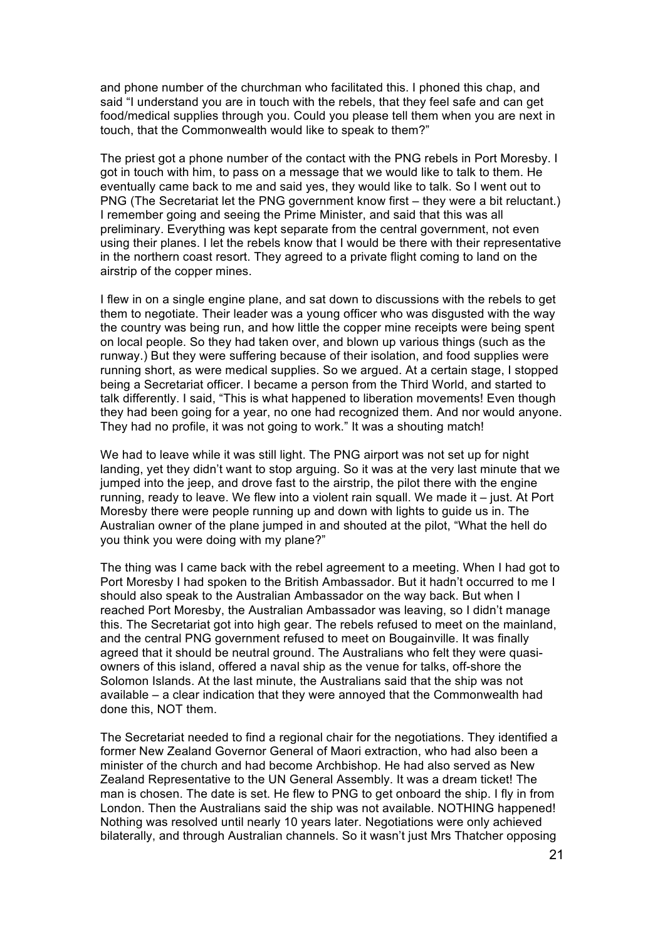and phone number of the churchman who facilitated this. I phoned this chap, and said "I understand you are in touch with the rebels, that they feel safe and can get food/medical supplies through you. Could you please tell them when you are next in touch, that the Commonwealth would like to speak to them?"

The priest got a phone number of the contact with the PNG rebels in Port Moresby. I got in touch with him, to pass on a message that we would like to talk to them. He eventually came back to me and said yes, they would like to talk. So I went out to PNG (The Secretariat let the PNG government know first – they were a bit reluctant.) I remember going and seeing the Prime Minister, and said that this was all preliminary. Everything was kept separate from the central government, not even using their planes. I let the rebels know that I would be there with their representative in the northern coast resort. They agreed to a private flight coming to land on the airstrip of the copper mines.

I flew in on a single engine plane, and sat down to discussions with the rebels to get them to negotiate. Their leader was a young officer who was disgusted with the way the country was being run, and how little the copper mine receipts were being spent on local people. So they had taken over, and blown up various things (such as the runway.) But they were suffering because of their isolation, and food supplies were running short, as were medical supplies. So we argued. At a certain stage, I stopped being a Secretariat officer. I became a person from the Third World, and started to talk differently. I said, "This is what happened to liberation movements! Even though they had been going for a year, no one had recognized them. And nor would anyone. They had no profile, it was not going to work." It was a shouting match!

We had to leave while it was still light. The PNG airport was not set up for night landing, yet they didn't want to stop arguing. So it was at the very last minute that we jumped into the jeep, and drove fast to the airstrip, the pilot there with the engine running, ready to leave. We flew into a violent rain squall. We made it – just. At Port Moresby there were people running up and down with lights to guide us in. The Australian owner of the plane jumped in and shouted at the pilot, "What the hell do you think you were doing with my plane?"

The thing was I came back with the rebel agreement to a meeting. When I had got to Port Moresby I had spoken to the British Ambassador. But it hadn't occurred to me I should also speak to the Australian Ambassador on the way back. But when I reached Port Moresby, the Australian Ambassador was leaving, so I didn't manage this. The Secretariat got into high gear. The rebels refused to meet on the mainland, and the central PNG government refused to meet on Bougainville. It was finally agreed that it should be neutral ground. The Australians who felt they were quasiowners of this island, offered a naval ship as the venue for talks, off-shore the Solomon Islands. At the last minute, the Australians said that the ship was not available – a clear indication that they were annoyed that the Commonwealth had done this, NOT them.

The Secretariat needed to find a regional chair for the negotiations. They identified a former New Zealand Governor General of Maori extraction, who had also been a minister of the church and had become Archbishop. He had also served as New Zealand Representative to the UN General Assembly. It was a dream ticket! The man is chosen. The date is set. He flew to PNG to get onboard the ship. I fly in from London. Then the Australians said the ship was not available. NOTHING happened! Nothing was resolved until nearly 10 years later. Negotiations were only achieved bilaterally, and through Australian channels. So it wasn't just Mrs Thatcher opposing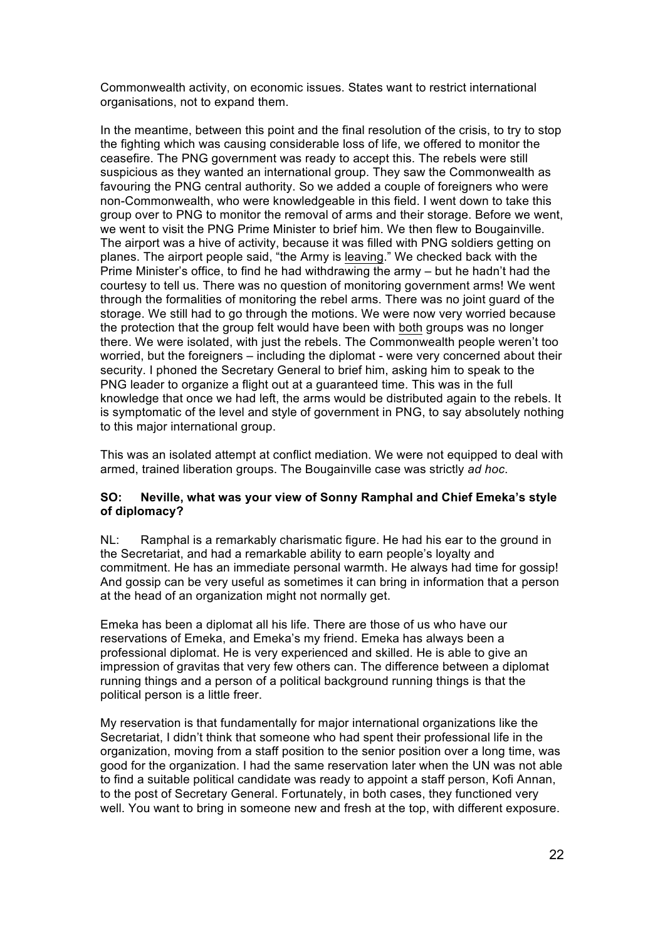Commonwealth activity, on economic issues. States want to restrict international organisations, not to expand them.

In the meantime, between this point and the final resolution of the crisis, to try to stop the fighting which was causing considerable loss of life, we offered to monitor the ceasefire. The PNG government was ready to accept this. The rebels were still suspicious as they wanted an international group. They saw the Commonwealth as favouring the PNG central authority. So we added a couple of foreigners who were non-Commonwealth, who were knowledgeable in this field. I went down to take this group over to PNG to monitor the removal of arms and their storage. Before we went, we went to visit the PNG Prime Minister to brief him. We then flew to Bougainville. The airport was a hive of activity, because it was filled with PNG soldiers getting on planes. The airport people said, "the Army is leaving." We checked back with the Prime Minister's office, to find he had withdrawing the army – but he hadn't had the courtesy to tell us. There was no question of monitoring government arms! We went through the formalities of monitoring the rebel arms. There was no joint guard of the storage. We still had to go through the motions. We were now very worried because the protection that the group felt would have been with both groups was no longer there. We were isolated, with just the rebels. The Commonwealth people weren't too worried, but the foreigners – including the diplomat - were very concerned about their security. I phoned the Secretary General to brief him, asking him to speak to the PNG leader to organize a flight out at a guaranteed time. This was in the full knowledge that once we had left, the arms would be distributed again to the rebels. It is symptomatic of the level and style of government in PNG, to say absolutely nothing to this major international group.

This was an isolated attempt at conflict mediation. We were not equipped to deal with armed, trained liberation groups. The Bougainville case was strictly *ad hoc*.

# **SO: Neville, what was your view of Sonny Ramphal and Chief Emeka's style of diplomacy?**

NL: Ramphal is a remarkably charismatic figure. He had his ear to the ground in the Secretariat, and had a remarkable ability to earn people's loyalty and commitment. He has an immediate personal warmth. He always had time for gossip! And gossip can be very useful as sometimes it can bring in information that a person at the head of an organization might not normally get.

Emeka has been a diplomat all his life. There are those of us who have our reservations of Emeka, and Emeka's my friend. Emeka has always been a professional diplomat. He is very experienced and skilled. He is able to give an impression of gravitas that very few others can. The difference between a diplomat running things and a person of a political background running things is that the political person is a little freer.

My reservation is that fundamentally for major international organizations like the Secretariat, I didn't think that someone who had spent their professional life in the organization, moving from a staff position to the senior position over a long time, was good for the organization. I had the same reservation later when the UN was not able to find a suitable political candidate was ready to appoint a staff person, Kofi Annan, to the post of Secretary General. Fortunately, in both cases, they functioned very well. You want to bring in someone new and fresh at the top, with different exposure.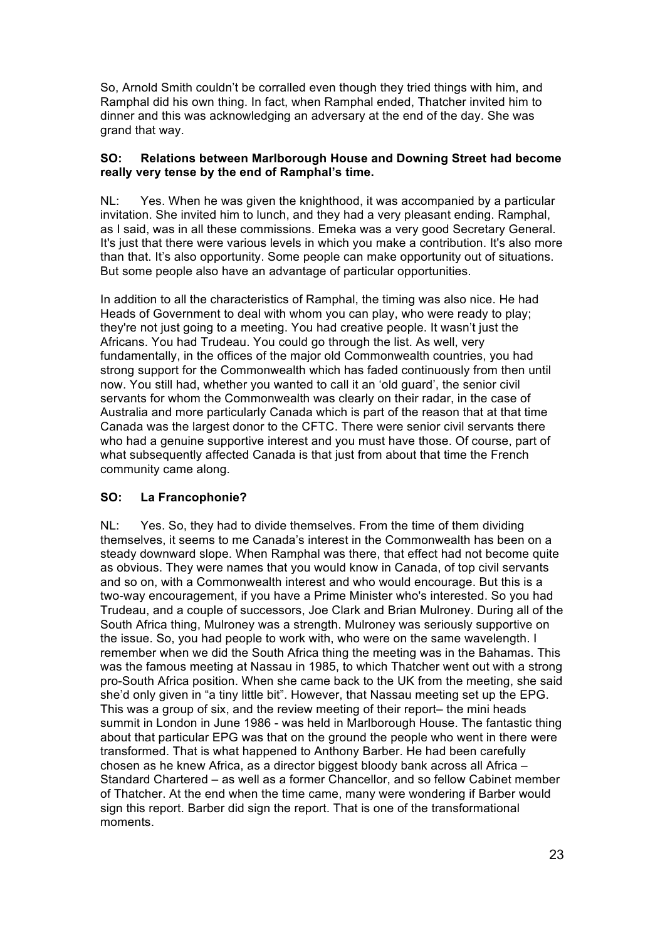So, Arnold Smith couldn't be corralled even though they tried things with him, and Ramphal did his own thing. In fact, when Ramphal ended, Thatcher invited him to dinner and this was acknowledging an adversary at the end of the day. She was grand that way.

### **SO: Relations between Marlborough House and Downing Street had become really very tense by the end of Ramphal's time.**

NL: Yes. When he was given the knighthood, it was accompanied by a particular invitation. She invited him to lunch, and they had a very pleasant ending. Ramphal, as I said, was in all these commissions. Emeka was a very good Secretary General. It's just that there were various levels in which you make a contribution. It's also more than that. It's also opportunity. Some people can make opportunity out of situations. But some people also have an advantage of particular opportunities.

In addition to all the characteristics of Ramphal, the timing was also nice. He had Heads of Government to deal with whom you can play, who were ready to play; they're not just going to a meeting. You had creative people. It wasn't just the Africans. You had Trudeau. You could go through the list. As well, very fundamentally, in the offices of the major old Commonwealth countries, you had strong support for the Commonwealth which has faded continuously from then until now. You still had, whether you wanted to call it an 'old guard', the senior civil servants for whom the Commonwealth was clearly on their radar, in the case of Australia and more particularly Canada which is part of the reason that at that time Canada was the largest donor to the CFTC. There were senior civil servants there who had a genuine supportive interest and you must have those. Of course, part of what subsequently affected Canada is that just from about that time the French community came along.

# **SO: La Francophonie?**

NL: Yes. So, they had to divide themselves. From the time of them dividing themselves, it seems to me Canada's interest in the Commonwealth has been on a steady downward slope. When Ramphal was there, that effect had not become quite as obvious. They were names that you would know in Canada, of top civil servants and so on, with a Commonwealth interest and who would encourage. But this is a two-way encouragement, if you have a Prime Minister who's interested. So you had Trudeau, and a couple of successors, Joe Clark and Brian Mulroney. During all of the South Africa thing, Mulroney was a strength. Mulroney was seriously supportive on the issue. So, you had people to work with, who were on the same wavelength. I remember when we did the South Africa thing the meeting was in the Bahamas. This was the famous meeting at Nassau in 1985, to which Thatcher went out with a strong pro-South Africa position. When she came back to the UK from the meeting, she said she'd only given in "a tiny little bit". However, that Nassau meeting set up the EPG. This was a group of six, and the review meeting of their report– the mini heads summit in London in June 1986 - was held in Marlborough House. The fantastic thing about that particular EPG was that on the ground the people who went in there were transformed. That is what happened to Anthony Barber. He had been carefully chosen as he knew Africa, as a director biggest bloody bank across all Africa – Standard Chartered – as well as a former Chancellor, and so fellow Cabinet member of Thatcher. At the end when the time came, many were wondering if Barber would sign this report. Barber did sign the report. That is one of the transformational moments.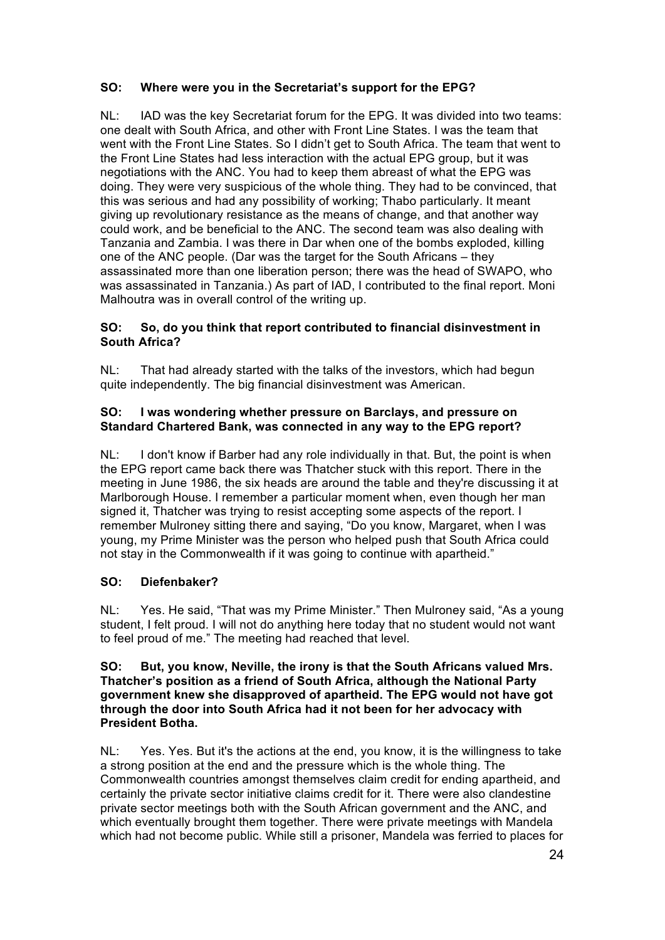# **SO: Where were you in the Secretariat's support for the EPG?**

NL: IAD was the key Secretariat forum for the EPG. It was divided into two teams: one dealt with South Africa, and other with Front Line States. I was the team that went with the Front Line States. So I didn't get to South Africa. The team that went to the Front Line States had less interaction with the actual EPG group, but it was negotiations with the ANC. You had to keep them abreast of what the EPG was doing. They were very suspicious of the whole thing. They had to be convinced, that this was serious and had any possibility of working; Thabo particularly. It meant giving up revolutionary resistance as the means of change, and that another way could work, and be beneficial to the ANC. The second team was also dealing with Tanzania and Zambia. I was there in Dar when one of the bombs exploded, killing one of the ANC people. (Dar was the target for the South Africans – they assassinated more than one liberation person; there was the head of SWAPO, who was assassinated in Tanzania.) As part of IAD, I contributed to the final report. Moni Malhoutra was in overall control of the writing up.

# **SO: So, do you think that report contributed to financial disinvestment in South Africa?**

NL: That had already started with the talks of the investors, which had begun quite independently. The big financial disinvestment was American.

### **SO: I was wondering whether pressure on Barclays, and pressure on Standard Chartered Bank, was connected in any way to the EPG report?**

NL: I don't know if Barber had any role individually in that. But, the point is when the EPG report came back there was Thatcher stuck with this report. There in the meeting in June 1986, the six heads are around the table and they're discussing it at Marlborough House. I remember a particular moment when, even though her man signed it, Thatcher was trying to resist accepting some aspects of the report. I remember Mulroney sitting there and saying, "Do you know, Margaret, when I was young, my Prime Minister was the person who helped push that South Africa could not stay in the Commonwealth if it was going to continue with apartheid."

# **SO: Diefenbaker?**

NL: Yes. He said, "That was my Prime Minister." Then Mulroney said, "As a young student, I felt proud. I will not do anything here today that no student would not want to feel proud of me." The meeting had reached that level.

#### **SO: But, you know, Neville, the irony is that the South Africans valued Mrs. Thatcher's position as a friend of South Africa, although the National Party government knew she disapproved of apartheid. The EPG would not have got through the door into South Africa had it not been for her advocacy with President Botha.**

NL: Yes. Yes. But it's the actions at the end, you know, it is the willingness to take a strong position at the end and the pressure which is the whole thing. The Commonwealth countries amongst themselves claim credit for ending apartheid, and certainly the private sector initiative claims credit for it. There were also clandestine private sector meetings both with the South African government and the ANC, and which eventually brought them together. There were private meetings with Mandela which had not become public. While still a prisoner, Mandela was ferried to places for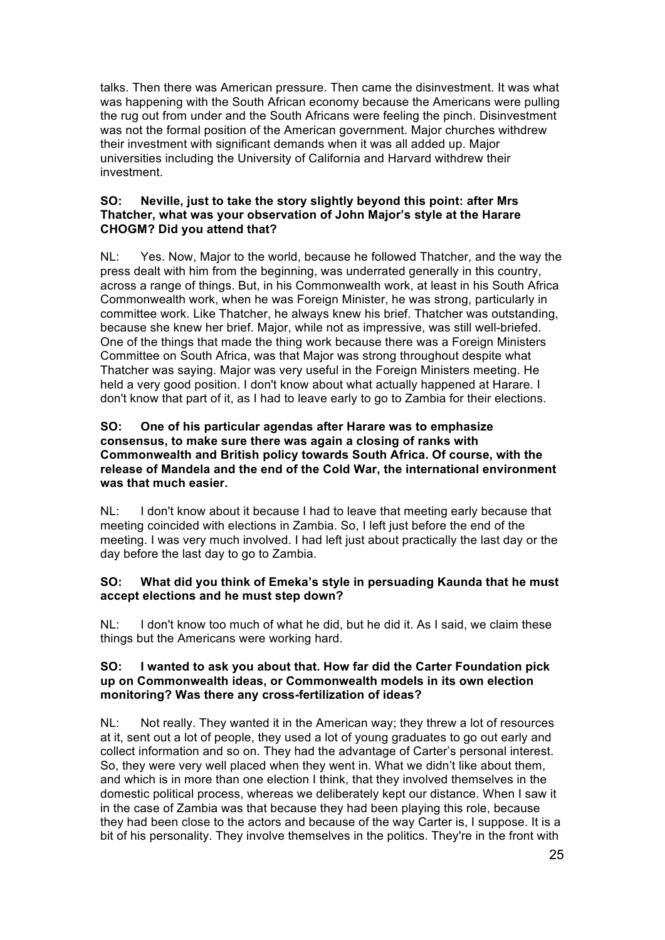talks. Then there was American pressure. Then came the disinvestment. It was what was happening with the South African economy because the Americans were pulling the rug out from under and the South Africans were feeling the pinch. Disinvestment was not the formal position of the American government. Major churches withdrew their investment with significant demands when it was all added up. Major universities including the University of California and Harvard withdrew their investment.

### **SO: Neville, just to take the story slightly beyond this point: after Mrs Thatcher, what was your observation of John Major's style at the Harare CHOGM? Did you attend that?**

NL: Yes. Now, Major to the world, because he followed Thatcher, and the way the press dealt with him from the beginning, was underrated generally in this country, across a range of things. But, in his Commonwealth work, at least in his South Africa Commonwealth work, when he was Foreign Minister, he was strong, particularly in committee work. Like Thatcher, he always knew his brief. Thatcher was outstanding, because she knew her brief. Major, while not as impressive, was still well-briefed. One of the things that made the thing work because there was a Foreign Ministers Committee on South Africa, was that Major was strong throughout despite what Thatcher was saying. Major was very useful in the Foreign Ministers meeting. He held a very good position. I don't know about what actually happened at Harare. I don't know that part of it, as I had to leave early to go to Zambia for their elections.

### **SO: One of his particular agendas after Harare was to emphasize consensus, to make sure there was again a closing of ranks with Commonwealth and British policy towards South Africa. Of course, with the release of Mandela and the end of the Cold War, the international environment was that much easier.**

NL: I don't know about it because I had to leave that meeting early because that meeting coincided with elections in Zambia. So, I left just before the end of the meeting. I was very much involved. I had left just about practically the last day or the day before the last day to go to Zambia.

# **SO: What did you think of Emeka's style in persuading Kaunda that he must accept elections and he must step down?**

NL: I don't know too much of what he did, but he did it. As I said, we claim these things but the Americans were working hard.

#### **SO: I wanted to ask you about that. How far did the Carter Foundation pick up on Commonwealth ideas, or Commonwealth models in its own election monitoring? Was there any cross-fertilization of ideas?**

NL: Not really. They wanted it in the American way; they threw a lot of resources at it, sent out a lot of people, they used a lot of young graduates to go out early and collect information and so on. They had the advantage of Carter's personal interest. So, they were very well placed when they went in. What we didn't like about them, and which is in more than one election I think, that they involved themselves in the domestic political process, whereas we deliberately kept our distance. When I saw it in the case of Zambia was that because they had been playing this role, because they had been close to the actors and because of the way Carter is, I suppose. It is a bit of his personality. They involve themselves in the politics. They're in the front with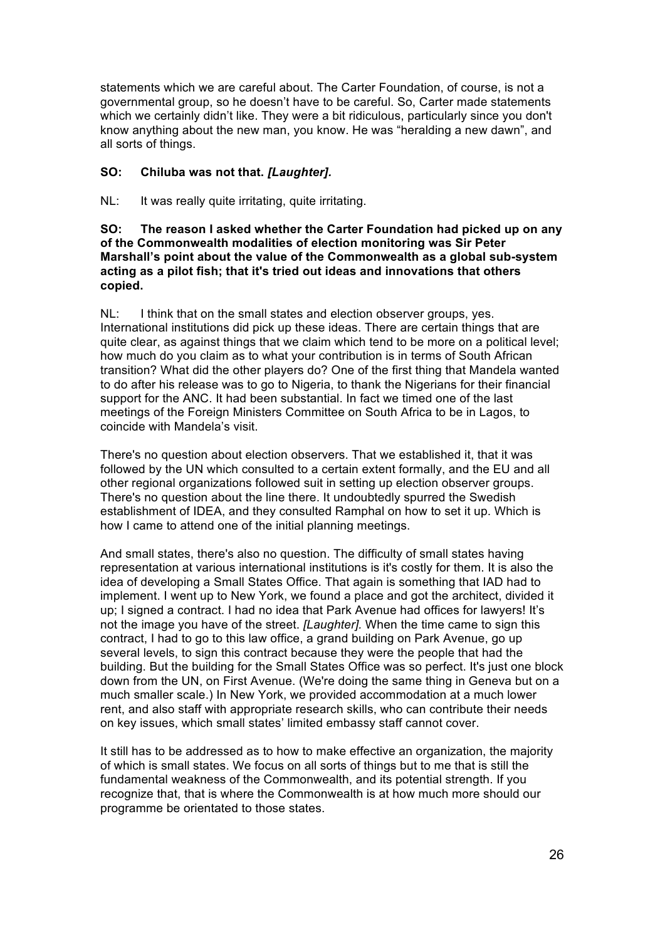statements which we are careful about. The Carter Foundation, of course, is not a governmental group, so he doesn't have to be careful. So, Carter made statements which we certainly didn't like. They were a bit ridiculous, particularly since you don't know anything about the new man, you know. He was "heralding a new dawn", and all sorts of things.

# **SO: Chiluba was not that.** *[Laughter].*

NL: It was really quite irritating, quite irritating.

**SO: The reason I asked whether the Carter Foundation had picked up on any of the Commonwealth modalities of election monitoring was Sir Peter Marshall's point about the value of the Commonwealth as a global sub-system acting as a pilot fish; that it's tried out ideas and innovations that others copied.**

NL: I think that on the small states and election observer groups, yes. International institutions did pick up these ideas. There are certain things that are quite clear, as against things that we claim which tend to be more on a political level; how much do you claim as to what your contribution is in terms of South African transition? What did the other players do? One of the first thing that Mandela wanted to do after his release was to go to Nigeria, to thank the Nigerians for their financial support for the ANC. It had been substantial. In fact we timed one of the last meetings of the Foreign Ministers Committee on South Africa to be in Lagos, to coincide with Mandela's visit.

There's no question about election observers. That we established it, that it was followed by the UN which consulted to a certain extent formally, and the EU and all other regional organizations followed suit in setting up election observer groups. There's no question about the line there. It undoubtedly spurred the Swedish establishment of IDEA, and they consulted Ramphal on how to set it up. Which is how I came to attend one of the initial planning meetings.

And small states, there's also no question. The difficulty of small states having representation at various international institutions is it's costly for them. It is also the idea of developing a Small States Office. That again is something that IAD had to implement. I went up to New York, we found a place and got the architect, divided it up; I signed a contract. I had no idea that Park Avenue had offices for lawyers! It's not the image you have of the street. *[Laughter].* When the time came to sign this contract, I had to go to this law office, a grand building on Park Avenue, go up several levels, to sign this contract because they were the people that had the building. But the building for the Small States Office was so perfect. It's just one block down from the UN, on First Avenue. (We're doing the same thing in Geneva but on a much smaller scale.) In New York, we provided accommodation at a much lower rent, and also staff with appropriate research skills, who can contribute their needs on key issues, which small states' limited embassy staff cannot cover.

It still has to be addressed as to how to make effective an organization, the majority of which is small states. We focus on all sorts of things but to me that is still the fundamental weakness of the Commonwealth, and its potential strength. If you recognize that, that is where the Commonwealth is at how much more should our programme be orientated to those states.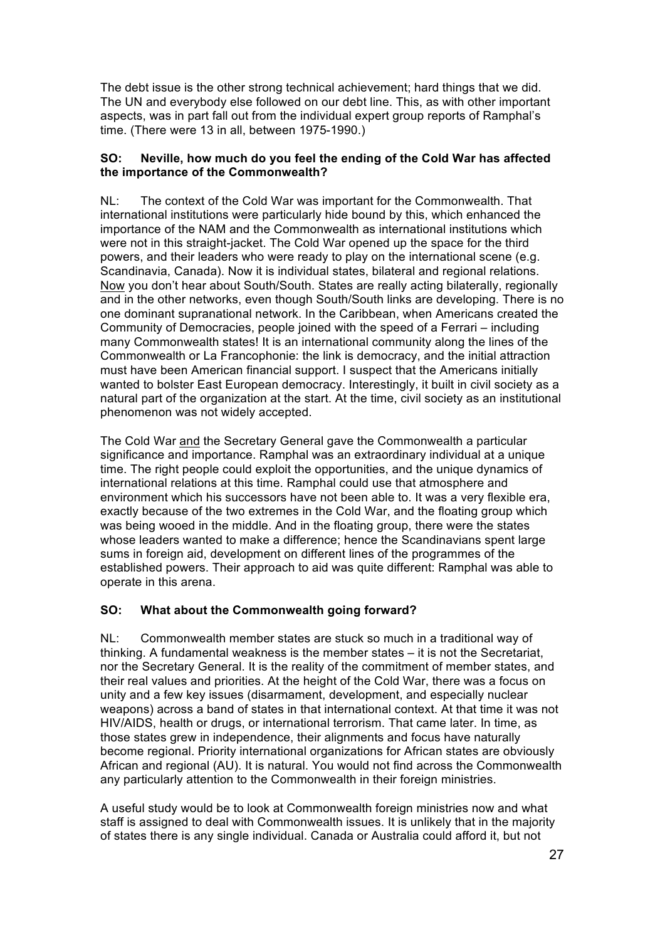The debt issue is the other strong technical achievement; hard things that we did. The UN and everybody else followed on our debt line. This, as with other important aspects, was in part fall out from the individual expert group reports of Ramphal's time. (There were 13 in all, between 1975-1990.)

# **SO: Neville, how much do you feel the ending of the Cold War has affected the importance of the Commonwealth?**

NL: The context of the Cold War was important for the Commonwealth. That international institutions were particularly hide bound by this, which enhanced the importance of the NAM and the Commonwealth as international institutions which were not in this straight-jacket. The Cold War opened up the space for the third powers, and their leaders who were ready to play on the international scene (e.g. Scandinavia, Canada). Now it is individual states, bilateral and regional relations. Now you don't hear about South/South. States are really acting bilaterally, regionally and in the other networks, even though South/South links are developing. There is no one dominant supranational network. In the Caribbean, when Americans created the Community of Democracies, people joined with the speed of a Ferrari – including many Commonwealth states! It is an international community along the lines of the Commonwealth or La Francophonie: the link is democracy, and the initial attraction must have been American financial support. I suspect that the Americans initially wanted to bolster East European democracy. Interestingly, it built in civil society as a natural part of the organization at the start. At the time, civil society as an institutional phenomenon was not widely accepted.

The Cold War and the Secretary General gave the Commonwealth a particular significance and importance. Ramphal was an extraordinary individual at a unique time. The right people could exploit the opportunities, and the unique dynamics of international relations at this time. Ramphal could use that atmosphere and environment which his successors have not been able to. It was a very flexible era, exactly because of the two extremes in the Cold War, and the floating group which was being wooed in the middle. And in the floating group, there were the states whose leaders wanted to make a difference; hence the Scandinavians spent large sums in foreign aid, development on different lines of the programmes of the established powers. Their approach to aid was quite different: Ramphal was able to operate in this arena.

# **SO: What about the Commonwealth going forward?**

NL: Commonwealth member states are stuck so much in a traditional way of thinking. A fundamental weakness is the member states – it is not the Secretariat, nor the Secretary General. It is the reality of the commitment of member states, and their real values and priorities. At the height of the Cold War, there was a focus on unity and a few key issues (disarmament, development, and especially nuclear weapons) across a band of states in that international context. At that time it was not HIV/AIDS, health or drugs, or international terrorism. That came later. In time, as those states grew in independence, their alignments and focus have naturally become regional. Priority international organizations for African states are obviously African and regional (AU). It is natural. You would not find across the Commonwealth any particularly attention to the Commonwealth in their foreign ministries.

A useful study would be to look at Commonwealth foreign ministries now and what staff is assigned to deal with Commonwealth issues. It is unlikely that in the majority of states there is any single individual. Canada or Australia could afford it, but not